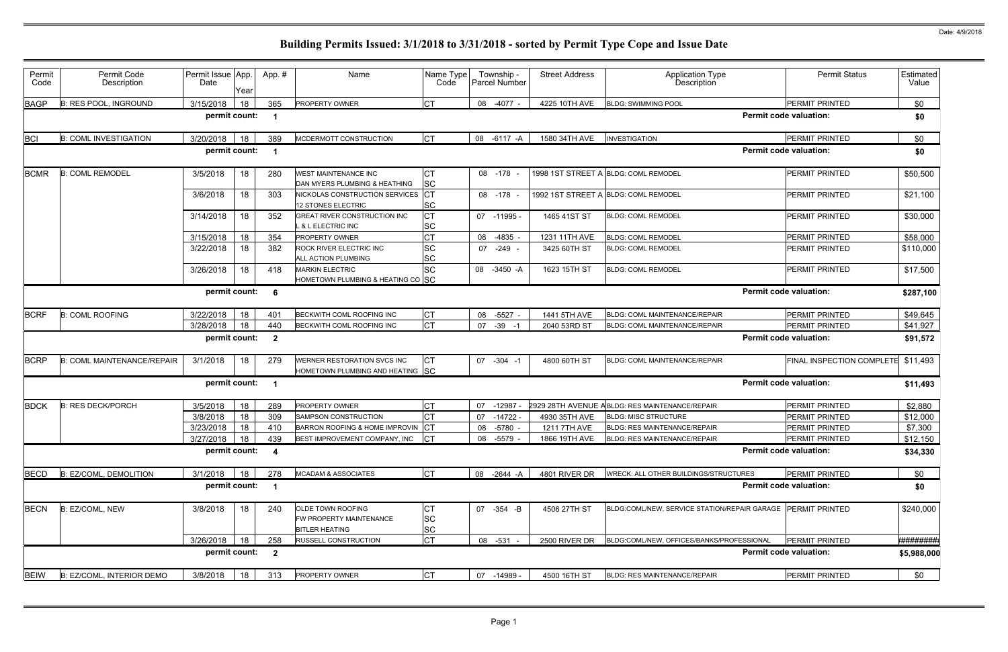| Permit<br>Code  | Permit Code<br>Description        | Permit Issue App.<br>Date       | Yearl | App.#                          | Name                                                                  | Name Type<br>Code            | Township -<br><b>Parcel Number</b> | <b>Street Address</b> | <b>Application Type</b><br>Description          | <b>Permit Status</b>          | Estimated<br>Value |
|-----------------|-----------------------------------|---------------------------------|-------|--------------------------------|-----------------------------------------------------------------------|------------------------------|------------------------------------|-----------------------|-------------------------------------------------|-------------------------------|--------------------|
| <b>BAGP</b>     | <b>B: RES POOL, INGROUND</b>      | 3/15/2018                       | 18    | 365                            | PROPERTY OWNER                                                        | <b>CT</b>                    | 08 -4077 -                         | 4225 10TH AVE         | <b>BLDG: SWIMMING POOL</b>                      | <b>PERMIT PRINTED</b>         | \$0                |
|                 |                                   | permit count:                   |       |                                |                                                                       |                              |                                    |                       |                                                 | <b>Permit code valuation:</b> | \$0                |
| <b>BCI</b>      | <b>B: COML INVESTIGATION</b>      | 3/20/2018                       | 18    | 389                            | MCDERMOTT CONSTRUCTION                                                | <b>CT</b>                    | 08 -6117 -A                        | 1580 34TH AVE         | <b>INVESTIGATION</b>                            | <b>PERMIT PRINTED</b>         | \$0                |
|                 |                                   | permit count:                   |       | - 1                            |                                                                       |                              |                                    |                       |                                                 | <b>Permit code valuation:</b> | \$0                |
| <b>BCMR</b>     | <b>B: COML REMODEL</b>            | 3/5/2018                        | 18    | 280                            | <b>WEST MAINTENANCE INC</b><br>DAN MYERS PLUMBING & HEATHING          | <b>CT</b><br><b>SC</b>       | 08 -178                            |                       | 1998 1ST STREET A BLDG: COML REMODEL            | PERMIT PRINTED                | \$50,500           |
|                 |                                   | 3/6/2018                        | 18    | 303                            | NICKOLAS CONSTRUCTION SERVICES<br><b>12 STONES ELECTRIC</b>           | <b>CT</b><br><b>SC</b>       | 08 -178                            |                       | 1992 1ST STREET A BLDG: COML REMODEL            | <b>PERMIT PRINTED</b>         | \$21,100           |
|                 |                                   | 3/14/2018                       | 18    | 352                            | GREAT RIVER CONSTRUCTION INC<br><b>&amp; L ELECTRIC INC</b>           | СT<br><b>SC</b>              | 07 -11995 -                        | 1465 41ST ST          | <b>BLDG: COML REMODEL</b>                       | <b>PERMIT PRINTED</b>         | \$30,000           |
|                 |                                   | 3/15/2018                       | 18    | 354                            | PROPERTY OWNER                                                        | <b>CT</b>                    | 08<br>$-4835$                      | 1231 11TH AVE         | <b>BLDG: COML REMODEL</b>                       | PERMIT PRINTED                | \$58,000           |
|                 |                                   | 3/22/2018                       | 18    | 382                            | ROCK RIVER ELECTRIC INC<br>ALL ACTION PLUMBING                        | <b>SC</b><br><b>SC</b>       | $-249 -$<br>07                     | 3425 60TH ST          | <b>BLDG: COML REMODEL</b>                       | <b>PERMIT PRINTED</b>         | \$110,000          |
|                 |                                   | 3/26/2018                       | 18    | 418                            | MARKIN ELECTRIC<br>HOMETOWN PLUMBING & HEATING CO SC                  | <b>SC</b>                    | 08 -3450 -A                        | 1623 15TH ST          | <b>BLDG: COML REMODEL</b>                       | <b>PERMIT PRINTED</b>         | \$17,500           |
|                 |                                   | permit count:                   |       | - 6                            |                                                                       |                              |                                    |                       |                                                 | <b>Permit code valuation:</b> | \$287,100          |
| <b>BCRF</b>     | <b>B: COML ROOFING</b>            | 3/22/2018                       | 18    | 401                            | BECKWITH COML ROOFING INC                                             | <b>CT</b>                    | 08<br>$-5527 -$                    | 1441 5TH AVE          | BLDG: COML MAINTENANCE/REPAIR                   | <b>PERMIT PRINTED</b>         | \$49,645           |
|                 |                                   | 3/28/2018                       | 18    | 440                            | BECKWITH COML ROOFING INC                                             | <b>CT</b>                    | 07<br>$-39 - 1$                    | 2040 53RD ST          | <b>BLDG: COML MAINTENANCE/REPAIR</b>            | <b>PERMIT PRINTED</b>         | \$41,927           |
|                 |                                   | permit count:<br>$\overline{2}$ |       |                                |                                                                       |                              |                                    |                       |                                                 | <b>Permit code valuation:</b> | \$91,572           |
| <b>BCRP</b>     | <b>B: COML MAINTENANCE/REPAIR</b> | 3/1/2018                        | 18    | 279                            | WERNER RESTORATION SVCS INC<br>HOMETOWN PLUMBING AND HEATING SC       | <b>CT</b>                    | $-304 - 1$<br>07                   | 4800 60TH ST          | BLDG: COML MAINTENANCE/REPAIR                   | FINAL INSPECTION COMPLETE     | \$11,493           |
|                 |                                   | permit count:                   |       | - 1                            |                                                                       |                              |                                    |                       |                                                 | <b>Permit code valuation:</b> | \$11,493           |
| <b>BDCK</b>     | <b>B: RES DECK/PORCH</b>          | 3/5/2018                        | 18    | 289                            | PROPERTY OWNER                                                        | <b>CT</b>                    | 07<br>$-12987$                     |                       | 2929 28TH AVENUE A BLDG: RES MAINTENANCE/REPAIR | <b>PERMIT PRINTED</b>         | \$2,880            |
|                 |                                   | 3/8/2018                        | 18    | 309                            | SAMPSON CONSTRUCTION                                                  |                              | $-14722 -$<br>07                   | 4930 35TH AVE         | <b>BLDG: MISC STRUCTURE</b>                     | <b>PERMIT PRINTED</b>         | \$12,000           |
|                 |                                   | 3/23/2018                       | 18    | 410                            | BARRON ROOFING & HOME IMPROVIN                                        |                              | $-5780 -$<br>08                    | 1211 7TH AVE          | <b>BLDG: RES MAINTENANCE/REPAIR</b>             | PERMIT PRINTED                | \$7,300            |
|                 |                                   | 3/27/2018                       | 18    | 439                            | BEST IMPROVEMENT COMPANY, INC CT                                      |                              | 08 -5579 -                         | 1866 19TH AVE         | BLDG: RES MAINTENANCE/REPAIR                    | <b>PERMIT PRINTED</b>         | \$12,150           |
|                 |                                   | permit count:                   |       | $\overline{\mathbf{4}}$        |                                                                       |                              |                                    |                       |                                                 | <b>Permit code valuation:</b> | \$34,330           |
| <b>BECD</b>     | B: EZ/COML, DEMOLITION            | 3/1/2018                        | 18    | 278                            | <b>MCADAM &amp; ASSOCIATES</b>                                        | <b>CT</b>                    | 08 -2644 -A                        | 4801 RIVER DR         | WRECK: ALL OTHER BUILDINGS/STRUCTURES           | <b>PERMIT PRINTED</b>         | \$0                |
|                 |                                   | permit count:                   |       | - 1                            |                                                                       |                              |                                    |                       |                                                 | <b>Permit code valuation:</b> | \$0                |
| <b>BECN</b>     | B: EZ/COML, NEW                   | 3/8/2018                        | 18    | 240                            | OLDE TOWN ROOFING<br>FW PROPERTY MAINTENANCE<br><b>BITLER HEATING</b> | СT<br><b>SC</b><br><b>SC</b> | 07 - 354 - B                       | 4506 27TH ST          | BLDG:COML/NEW, SERVICE STATION/REPAIR GARAGE    | <b>IPERMIT PRINTED</b>        | \$240,000          |
| 3/26/2018<br>18 |                                   |                                 |       |                                | <b>RUSSELL CONSTRUCTION</b>                                           | <b>CT</b>                    | 08 -531 -                          | 2500 RIVER DR         | BLDG:COML/NEW, OFFICES/BANKS/PROFESSIONAL       | PERMIT PRINTED                | *#########         |
|                 |                                   | permit count:                   |       | 258<br>$\overline{\mathbf{2}}$ |                                                                       |                              |                                    |                       |                                                 | <b>Permit code valuation:</b> | \$5,988,000        |
| <b>BEIW</b>     | B: EZ/COML, INTERIOR DEMO         | 3/8/2018                        | 18    | 313                            | PROPERTY OWNER                                                        | Iст                          | 07 -14989 -                        | 4500 16TH ST          | <b>BLDG: RES MAINTENANCE/REPAIR</b>             | PERMIT PRINTED                | \$0                |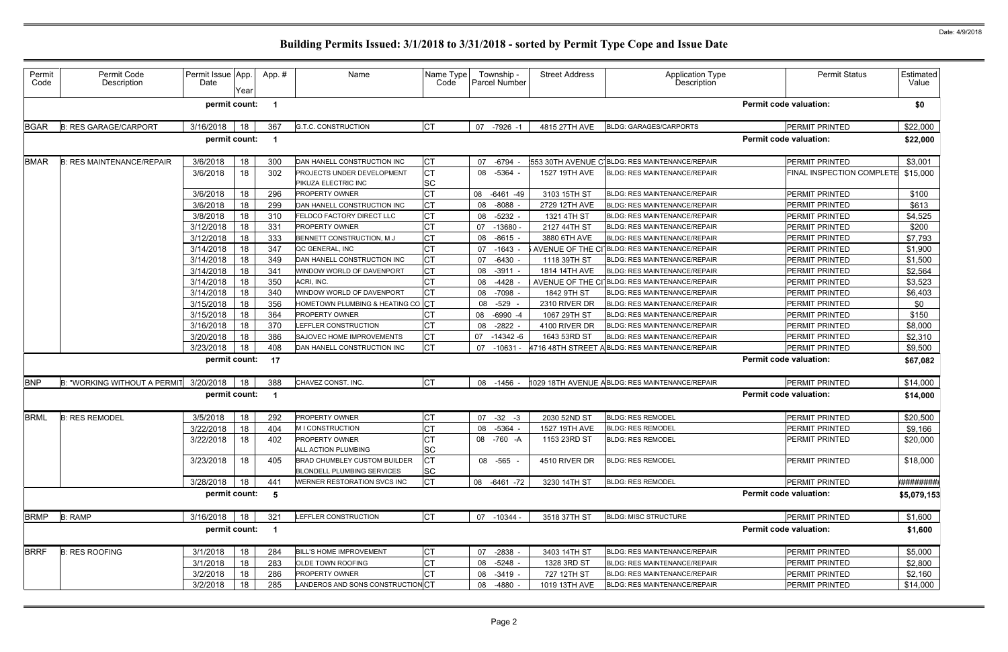| Permit<br>Code | Permit Code<br>Description       | Permit Issue App.<br>Date | Year | App.# | Name                              | Name Type<br>Code | Township -<br><b>Parcel Number</b> | <b>Street Address</b> | Application Type<br>Description                | <b>Permit Status</b>             | Estimated<br>Value |
|----------------|----------------------------------|---------------------------|------|-------|-----------------------------------|-------------------|------------------------------------|-----------------------|------------------------------------------------|----------------------------------|--------------------|
|                |                                  | permit count:             |      |       |                                   |                   |                                    |                       |                                                | <b>Permit code valuation:</b>    | \$0                |
| <b>BGAR</b>    | <b>B: RES GARAGE/CARPORT</b>     | 3/16/2018                 | 18   | 367   | <b>G.T.C. CONSTRUCTION</b>        | <b>CT</b>         | 07 -7926 -1                        | 4815 27TH AVE         | <b>BLDG: GARAGES/CARPORTS</b>                  | <b>PERMIT PRINTED</b>            | \$22,000           |
|                |                                  | permit count:             |      | - 1   |                                   |                   |                                    |                       |                                                | <b>Permit code valuation:</b>    | \$22,000           |
| <b>BMAR</b>    | <b>B: RES MAINTENANCE/REPAIR</b> | 3/6/2018                  | 18   | 300   | DAN HANELL CONSTRUCTION INC       | <b>CT</b>         | 07<br>$-6794$                      |                       | 553 30TH AVENUE C BLDG: RES MAINTENANCE/REPAIR | PERMIT PRINTED                   | \$3,001            |
|                |                                  | 3/6/2018                  | 18   | 302   | PROJECTS UNDER DEVELOPMENT        | <b>CT</b>         | $-5364 -$<br>08                    | 1527 19TH AVE         | <b>BLDG: RES MAINTENANCE/REPAIR</b>            | <b>FINAL INSPECTION COMPLETE</b> | \$15,000           |
|                |                                  |                           |      |       | PIKUZA ELECTRIC INC               | <b>SC</b>         |                                    |                       |                                                |                                  |                    |
|                |                                  | 3/6/2018                  | 18   | 296   | PROPERTY OWNER                    | СT                | 08<br>-6461 -49                    | 3103 15TH ST          | <b>BLDG: RES MAINTENANCE/REPAIR</b>            | PERMIT PRINTED                   | \$100              |
|                |                                  | 3/6/2018                  | 18   | 299   | DAN HANELL CONSTRUCTION INC       |                   | 08<br>$-8088 -$                    | 2729 12TH AVE         | <b>BLDG: RES MAINTENANCE/REPAIR</b>            | PERMIT PRINTED                   | \$613              |
|                |                                  | 3/8/2018                  | 18   | 310   | FELDCO FACTORY DIRECT LLC         | <b>CT</b>         | $-5232 -$<br>08                    | 1321 4TH ST           | <b>BLDG: RES MAINTENANCE/REPAIR</b>            | PERMIT PRINTED                   | \$4,525            |
|                |                                  | 3/12/2018                 | 18   | 331   | PROPERTY OWNER                    | СT                | 07<br>$-13680 -$                   | 2127 44TH ST          | <b>BLDG: RES MAINTENANCE/REPAIR</b>            | PERMIT PRINTED                   | \$200              |
|                |                                  | 3/12/2018                 | 18   | 333   | BENNETT CONSTRUCTION, M J         | СT                | $-8615 -$<br>08                    | 3880 6TH AVE          | <b>BLDG: RES MAINTENANCE/REPAIR</b>            | PERMIT PRINTED                   | \$7,793            |
|                |                                  | 3/14/2018                 | 18   | 347   | QC GENERAL, INC                   | СT                | $-1643$<br>07                      |                       | AVENUE OF THE CI BLDG: RES MAINTENANCE/REPAIR  | <b>PERMIT PRINTED</b>            | \$1,900            |
|                |                                  | 3/14/2018                 | 18   | 349   | DAN HANELL CONSTRUCTION INC       | СT                | $-6430$<br>07                      | 1118 39TH ST          | <b>BLDG: RES MAINTENANCE/REPAIR</b>            | PERMIT PRINTED                   | \$1,500            |
|                |                                  | 3/14/2018                 | 18   | 341   | WINDOW WORLD OF DAVENPORT         | СT                | $-3911 -$<br>08                    | 1814 14TH AVE         | <b>BLDG: RES MAINTENANCE/REPAIR</b>            | PERMIT PRINTED                   | \$2,564            |
|                |                                  | 3/14/2018                 | 18   | 350   | ACRI, INC.                        | <b>CT</b>         | 08<br>-4428                        |                       | AVENUE OF THE CI BLDG: RES MAINTENANCE/REPAIR  | <b>PERMIT PRINTED</b>            | \$3,523            |
|                |                                  | 3/14/2018                 | 18   | 340   | WINDOW WORLD OF DAVENPORT         | СT                | $-7098$<br>08                      | 1842 9TH ST           | BLDG: RES MAINTENANCE/REPAIR                   | <b>PERMIT PRINTED</b>            | \$6,403            |
|                |                                  | 3/15/2018                 | 18   | 356   | HOMETOWN PLUMBING & HEATING CO CT |                   | $-529$<br>08                       | 2310 RIVER DR         | <b>BLDG: RES MAINTENANCE/REPAIR</b>            | PERMIT PRINTED                   | \$0                |
|                |                                  | 3/15/2018                 | 18   | 364   | <b>PROPERTY OWNER</b>             |                   | $-6990 -4$<br>08                   | 1067 29TH ST          | <b>BLDG: RES MAINTENANCE/REPAIR</b>            | PERMIT PRINTED                   | \$150              |
|                |                                  | 3/16/2018                 | 18   | 370   | LEFFLER CONSTRUCTION              | СT                | $-2822 -$<br>08                    | 4100 RIVER DR         | BLDG: RES MAINTENANCE/REPAIR                   | PERMIT PRINTED                   | \$8,000            |
|                |                                  | 3/20/2018                 | 18   | 386   | SAJOVEC HOME IMPROVEMENTS         | СT                | -14342 -6<br>07                    | 1643 53RD ST          | <b>BLDG: RES MAINTENANCE/REPAIR</b>            | PERMIT PRINTED                   | \$2,310            |
|                |                                  | 3/23/2018                 | 18   | 408   | DAN HANELL CONSTRUCTION INC       | <b>CT</b>         | 07 -10631 -                        |                       | 4716 48TH STREET ABLDG: RES MAINTENANCE/REPAIR | PERMIT PRINTED                   | \$9,500            |
|                |                                  | permit count:             |      | 17    |                                   |                   |                                    |                       |                                                | <b>Permit code valuation:</b>    | \$67,082           |
| <b>BNP</b>     | B: "WORKING WITHOUT A PERMIT     | 3/20/2018                 | 18   | 388   | CHAVEZ CONST. INC.                | <b>CT</b>         | 08 -1456 -                         |                       | 1029 18TH AVENUE ABLDG: RES MAINTENANCE/REPAIR | PERMIT PRINTED                   | \$14,000           |
|                |                                  | permit count:             |      |       |                                   |                   |                                    |                       |                                                | <b>Permit code valuation:</b>    | \$14,000           |
| <b>BRML</b>    | <b>B: RES REMODEL</b>            | 3/5/2018                  | 18   | 292   | PROPERTY OWNER                    |                   | 07<br>$-32 - 3$                    | 2030 52ND ST          | <b>BLDG: RES REMODEL</b>                       | <b>PERMIT PRINTED</b>            | \$20,500           |
|                |                                  | 3/22/2018                 | 18   | 404   | M I CONSTRUCTION                  | <b>CT</b>         | $-5364 -$<br>08                    | 1527 19TH AVE         | <b>BLDG: RES REMODEL</b>                       | <b>PERMIT PRINTED</b>            | \$9,166            |
|                |                                  | 3/22/2018                 | 18   | 402   | <b>PROPERTY OWNER</b>             | <b>CT</b>         | 08 -760 -A                         | 1153 23RD ST          | <b>BLDG: RES REMODEL</b>                       | <b>PERMIT PRINTED</b>            | \$20,000           |
|                |                                  |                           |      |       | ALL ACTION PLUMBING               | <b>SC</b>         |                                    |                       |                                                |                                  |                    |
|                |                                  | 3/23/2018                 | 18   | 405   | BRAD CHUMBLEY CUSTOM BUILDER      | <b>CT</b>         | 08 -565 -                          | 4510 RIVER DR         | <b>BLDG: RES REMODEL</b>                       | PERMIT PRINTED                   | \$18,000           |
|                |                                  |                           |      |       | <b>BLONDELL PLUMBING SERVICES</b> | SC                |                                    |                       |                                                |                                  |                    |
|                |                                  | 3/28/2018                 | 18   | 441   | WERNER RESTORATION SVCS INC       | CT                | 08 -6461 -72                       | 3230 14TH ST          | <b>BLDG: RES REMODEL</b>                       | <b>PERMIT PRINTED</b>            | <b>*#########</b>  |
|                |                                  | permit count:             |      | - 5   |                                   |                   |                                    |                       |                                                | <b>Permit code valuation:</b>    | \$5,079,153        |
| <b>BRMP</b>    | <b>B: RAMP</b>                   | 3/16/2018                 | 18   | 321   | LEFFLER CONSTRUCTION              | <b>CT</b>         | 07 -10344 -                        | 3518 37TH ST          | <b>BLDG: MISC STRUCTURE</b>                    | PERMIT PRINTED                   | \$1,600            |
|                |                                  | permit count: 1           |      |       |                                   |                   |                                    |                       |                                                | <b>Permit code valuation:</b>    | \$1,600            |
| <b>BRRF</b>    | <b>B: RES ROOFING</b>            | 3/1/2018                  | 18   | 284   | <b>BILL'S HOME IMPROVEMENT</b>    | <b>CT</b>         | 07 -2838 -                         | 3403 14TH ST          | <b>BLDG: RES MAINTENANCE/REPAIR</b>            | <b>PERMIT PRINTED</b>            | \$5,000            |
|                |                                  | 3/1/2018                  | 18   | 283   | OLDE TOWN ROOFING                 | СT                | $-5248 -$<br>08                    | 1328 3RD ST           | BLDG: RES MAINTENANCE/REPAIR                   | PERMIT PRINTED                   | \$2,800            |
|                |                                  | 3/2/2018                  | 18   | 286   | PROPERTY OWNER                    |                   | $-3419 -$<br>08                    | 727 12TH ST           | BLDG: RES MAINTENANCE/REPAIR                   | <b>PERMIT PRINTED</b>            | \$2,160            |
|                |                                  | 3/2/2018                  | 18   | 285   | LANDEROS AND SONS CONSTRUCTION CT |                   | 08<br>$-4880 -$                    | 1019 13TH AVE         | <b>BLDG: RES MAINTENANCE/REPAIR</b>            | PERMIT PRINTED                   | \$14,000           |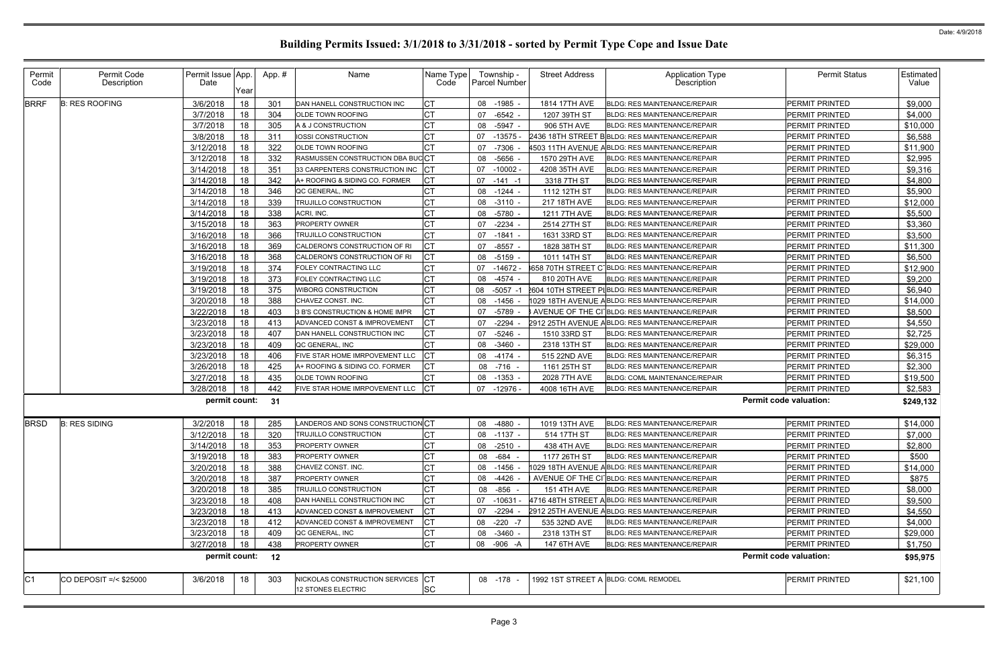| Permit<br>Code | Permit Code<br>Description | Permit Issue App.<br>Date | Year | App.# | Name                                                    | Name Type<br>Code   | Township -<br><b>Parcel Number</b> | <b>Street Address</b> | <b>Application Type</b><br><b>Description</b>          | <b>Permit Status</b>          | Estimated<br>Value |
|----------------|----------------------------|---------------------------|------|-------|---------------------------------------------------------|---------------------|------------------------------------|-----------------------|--------------------------------------------------------|-------------------------------|--------------------|
| <b>BRRF</b>    | <b>B: RES ROOFING</b>      | 3/6/2018                  | 18   | 301   | DAN HANELL CONSTRUCTION INC                             | <b>CT</b>           | 08<br>$-1985 -$                    | 1814 17TH AVE         | <b>BLDG: RES MAINTENANCE/REPAIR</b>                    | PERMIT PRINTED                | \$9,000            |
|                |                            | 3/7/2018                  | 18   | 304   | OLDE TOWN ROOFING                                       | <b>CT</b>           | 07<br>$-6542 -$                    | 1207 39TH ST          | <b>BLDG: RES MAINTENANCE/REPAIR</b>                    | <b>PERMIT PRINTED</b>         | \$4,000            |
|                |                            | 3/7/2018                  | 18   | 305   | A & J CONSTRUCTION                                      | <b>CT</b>           | $-5947 -$<br>08                    | 906 5TH AVE           | <b>BLDG: RES MAINTENANCE/REPAIR</b>                    | PERMIT PRINTED                | \$10,000           |
|                |                            | 3/8/2018                  | 18   | 311   | IOSSI CONSTRUCTION                                      | <b>CT</b>           | $-13575 -$<br>07                   |                       | 2436 18TH STREET BBLDG: RES MAINTENANCE/REPAIR         | PERMIT PRINTED                | \$6,588            |
|                |                            | 3/12/2018                 | 18   | 322   | OLDE TOWN ROOFING                                       | СT                  | $-7306$<br>07                      |                       | 4503 11TH AVENUE ABLDG: RES MAINTENANCE/REPAIR         | PERMIT PRINTED                | \$11,900           |
|                |                            | 3/12/2018                 | 18   | 332   | RASMUSSEN CONSTRUCTION DBA BUCCT                        |                     | $-5656$<br>08                      | 1570 29TH AVE         | <b>BLDG: RES MAINTENANCE/REPAIR</b>                    | <b>PERMIT PRINTED</b>         | \$2,995            |
|                |                            | 3/14/2018                 | 18   | 351   | 33 CARPENTERS CONSTRUCTION INC                          | CT                  | 07<br>$-10002$                     | 4208 35TH AVE         | <b>BLDG: RES MAINTENANCE/REPAIR</b>                    | PERMIT PRINTED                | \$9,316            |
|                |                            | 3/14/2018                 | 18   | 342   | A+ ROOFING & SIDING CO. FORMER                          | <b>CT</b>           | 07<br>$-141 - 1$                   | 3318 7TH ST           | <b>BLDG: RES MAINTENANCE/REPAIR</b>                    | <b>PERMIT PRINTED</b>         | \$4,800            |
|                |                            | 3/14/2018                 | 18   | 346   | QC GENERAL, INC                                         | <b>CT</b>           | 08<br>-1244 -                      | 1112 12TH ST          | <b>BLDG: RES MAINTENANCE/REPAIR</b>                    | PERMIT PRINTED                | \$5,900            |
|                |                            | 3/14/2018                 | 18   | 339   | TRUJILLO CONSTRUCTION                                   | <b>CT</b>           | $-3110$<br>08                      | 217 18TH AVE          | <b>BLDG: RES MAINTENANCE/REPAIR</b>                    | PERMIT PRINTED                | \$12,000           |
|                |                            | 3/14/2018                 | 18   | 338   | ACRI, INC.                                              | <b>CT</b>           | 08<br>$-5780$                      | 1211 7TH AVE          | <b>BLDG: RES MAINTENANCE/REPAIR</b>                    | <b>PERMIT PRINTED</b>         | \$5,500            |
|                |                            | 3/15/2018                 | 18   | 363   | PROPERTY OWNER                                          | <b>CT</b>           | $-2234$<br>07                      | 2514 27TH ST          | <b>BLDG: RES MAINTENANCE/REPAIR</b>                    | PERMIT PRINTED                | \$3,360            |
|                |                            | 3/16/2018                 | 18   | 366   | TRUJILLO CONSTRUCTION                                   | <b>CT</b>           | $-1841$<br>07                      | 1631 33RD ST          | <b>BLDG: RES MAINTENANCE/REPAIR</b>                    | PERMIT PRINTED                | \$3,500            |
|                |                            | 3/16/2018                 | 18   | 369   | CALDERON'S CONSTRUCTION OF RI                           | <b>ICT</b>          | 07<br>$-8557$                      | 1828 38TH ST          | <b>BLDG: RES MAINTENANCE/REPAIR</b>                    | PERMIT PRINTED                | \$11,300           |
|                |                            | 3/16/2018                 | 18   | 368   | CALDERON'S CONSTRUCTION OF RI                           | <b>CT</b>           | $-5159$<br>08                      | 1011 14TH ST          | <b>BLDG: RES MAINTENANCE/REPAIR</b>                    | PERMIT PRINTED                | \$6,500            |
|                |                            | 3/19/2018                 | 18   | 374   | FOLEY CONTRACTING LLC                                   | <b>CT</b>           | 07<br>-14672 -                     |                       | 658 70TH STREET C BLDG: RES MAINTENANCE/REPAIR         | <b>PERMIT PRINTED</b>         | \$12,900           |
|                |                            | 3/19/2018                 | 18   | 373   | FOLEY CONTRACTING LLC                                   | <b>CT</b>           | $-4574$<br>08                      | 810 20TH AVE          | <b>BLDG: RES MAINTENANCE/REPAIR</b>                    | <b>PERMIT PRINTED</b>         | \$9,200            |
|                |                            | 3/19/2018                 | 18   | 375   | WIBORG CONSTRUCTION                                     | <b>CT</b>           | $-5057 - 1$<br>08                  |                       | <b>2604 10TH STREET PIBLDG: RES MAINTENANCE/REPAIR</b> | <b>PERMIT PRINTED</b>         | \$6,940            |
|                |                            | 3/20/2018                 | 18   | 388   | CHAVEZ CONST. INC.                                      | <b>CT</b>           | 08<br>$-1456$                      |                       | 1029 18TH AVENUE ABLDG: RES MAINTENANCE/REPAIR         | PERMIT PRINTED                | \$14,000           |
|                |                            | 3/22/2018                 | 18   | 403   | 3 B'S CONSTRUCTION & HOME IMPR                          | <b>CT</b>           | $-5789$<br>07                      |                       | 3 AVENUE OF THE CI BLDG: RES MAINTENANCE/REPAIR        | PERMIT PRINTED                | \$8,500            |
|                |                            | 3/23/2018                 | 18   | 413   | ADVANCED CONST & IMPROVEMENT                            | <b>CT</b>           | $-2294$<br>07                      |                       | 2912 25TH AVENUE ABLDG: RES MAINTENANCE/REPAIR         | PERMIT PRINTED                | \$4,550            |
|                |                            | 3/23/2018                 | 18   | 407   | DAN HANELL CONSTRUCTION INC                             | <b>CT</b>           | $-5246$ -<br>07                    | 1510 33RD ST          | <b>BLDG: RES MAINTENANCE/REPAIR</b>                    | PERMIT PRINTED                | \$2,725            |
|                |                            | 3/23/2018                 | 18   | 409   | QC GENERAL, INC                                         | CT.                 | 08<br>$-3460$                      | 2318 13TH ST          | <b>BLDG: RES MAINTENANCE/REPAIR</b>                    | PERMIT PRINTED                | \$29,000           |
|                |                            | 3/23/2018                 | 18   | 406   | FIVE STAR HOME IMRPOVEMENT LLC                          | <b>CT</b>           | $-4174$<br>08                      | 515 22ND AVE          | <b>BLDG: RES MAINTENANCE/REPAIR</b>                    | PERMIT PRINTED                | \$6,315            |
|                |                            | 3/26/2018                 | 18   | 425   | A+ ROOFING & SIDING CO. FORMER                          | <b>CT</b>           | -716<br>08                         | 1161 25TH ST          | <b>BLDG: RES MAINTENANCE/REPAIR</b>                    | PERMIT PRINTED                | \$2,300            |
|                |                            | 3/27/2018                 | 18   | 435   | OLDE TOWN ROOFING                                       | СT                  | $-1353$<br>08                      | 2028 7TH AVE          | <b>BLDG: COML MAINTENANCE/REPAIR</b>                   | PERMIT PRINTED                | \$19,500           |
|                |                            | 3/28/2018                 | 18   | 442   | FIVE STAR HOME IMRPOVEMENT LLC                          | $ _{\rm CT}$        | 07<br>-12976 -                     | 4008 16TH AVE         | <b>BLDG: RES MAINTENANCE/REPAIR</b>                    | PERMIT PRINTED                | \$2,583            |
|                |                            | permit count:             |      | 31    |                                                         |                     |                                    |                       |                                                        | <b>Permit code valuation:</b> | \$249,132          |
| <b>BRSD</b>    | <b>B: RES SIDING</b>       | 3/2/2018                  | 18   | 285   | LANDEROS AND SONS CONSTRUCTION CT                       |                     | 08 -4880 -                         | 1019 13TH AVE         | BLDG: RES MAINTENANCE/REPAIR                           | PERMIT PRINTED                | \$14,000           |
|                |                            | $3/12/2018$ 18            |      | 320   | TRUJILLO CONSTRUCTION                                   | $\sim$ $\sim$<br>ЮI | 08 -1137 -                         | 514 17TH ST           | BLDG: RES MAINTENANCE/REPAIR                           | PERMIT PRINTED                | \$7,000            |
|                |                            | 3/14/2018                 | 18   | 353   | PROPERTY OWNER                                          | <b>CT</b>           | -2510 -<br>08                      | 438 4TH AVE           | BLDG: RES MAINTENANCE/REPAIR                           | PERMIT PRINTED                | \$2,800            |
|                |                            | 3/19/2018                 | 18   | 383   | PROPERTY OWNER                                          | <b>CT</b>           | -684 -<br>08                       | 1177 26TH ST          | <b>BLDG: RES MAINTENANCE/REPAIR</b>                    | PERMIT PRINTED                | \$500              |
|                |                            | 3/20/2018                 | 18   | 388   | CHAVEZ CONST. INC.                                      | <b>CT</b>           | 08<br>-1456                        |                       | 1029 18TH AVENUE ABLDG: RES MAINTENANCE/REPAIR         | <b>PERMIT PRINTED</b>         | \$14,000           |
|                |                            | 3/20/2018                 | 18   | 387   | PROPERTY OWNER                                          | <b>CT</b>           | 08<br>-4426 -                      |                       | AVENUE OF THE CI BLDG: RES MAINTENANCE/REPAIR          | PERMIT PRINTED                | \$875              |
|                |                            | 3/20/2018                 | 18   | 385   | TRUJILLO CONSTRUCTION                                   | <b>CT</b>           | 08<br>$-856 -$                     | <b>151 4TH AVE</b>    | BLDG: RES MAINTENANCE/REPAIR                           | <b>PERMIT PRINTED</b>         | \$8,000            |
|                |                            | 3/23/2018                 | 18   | 408   | DAN HANELL CONSTRUCTION INC                             | СT                  | $-10631 -$<br>07                   |                       | 4716 48TH STREET ABLDG: RES MAINTENANCE/REPAIR         | PERMIT PRINTED                | \$9,500            |
|                |                            | 3/23/2018                 | 18   | 413   | ADVANCED CONST & IMPROVEMENT                            | <b>ICT</b>          | 07<br>$-2294$                      |                       | 2912 25TH AVENUE ABLDG: RES MAINTENANCE/REPAIR         | PERMIT PRINTED                | \$4,550            |
|                |                            | 3/23/2018                 | 18   | 412   | ADVANCED CONST & IMPROVEMENT                            | <b>ICT</b>          | -220 -7<br>08                      | 535 32ND AVE          | <b>BLDG: RES MAINTENANCE/REPAIR</b>                    | PERMIT PRINTED                | \$4,000            |
|                |                            | 3/23/2018                 | 18   | 409   | QC GENERAL, INC                                         | СT                  | $-3460$ -<br>08                    | 2318 13TH ST          | <b>BLDG: RES MAINTENANCE/REPAIR</b>                    | PERMIT PRINTED                | \$29,000           |
|                |                            | 3/27/2018                 | 18   | 438   | PROPERTY OWNER                                          | <b>CT</b>           | 08 -906 -A                         | 147 6TH AVE           | <b>BLDG: RES MAINTENANCE/REPAIR</b>                    | PERMIT PRINTED                | \$1,750            |
|                |                            | permit count: 12          |      |       |                                                         |                     |                                    |                       |                                                        | <b>Permit code valuation:</b> | \$95,975           |
| C <sub>1</sub> | CO DEPOSIT =/< \$25000     | 3/6/2018                  | 18   | 303   | NICKOLAS CONSTRUCTION SERVICES CT<br>12 STONES ELECTRIC | <b>SC</b>           | 08 -178 -                          |                       | 1992 1ST STREET A BLDG: COML REMODEL                   | <b>PERMIT PRINTED</b>         | \$21,100           |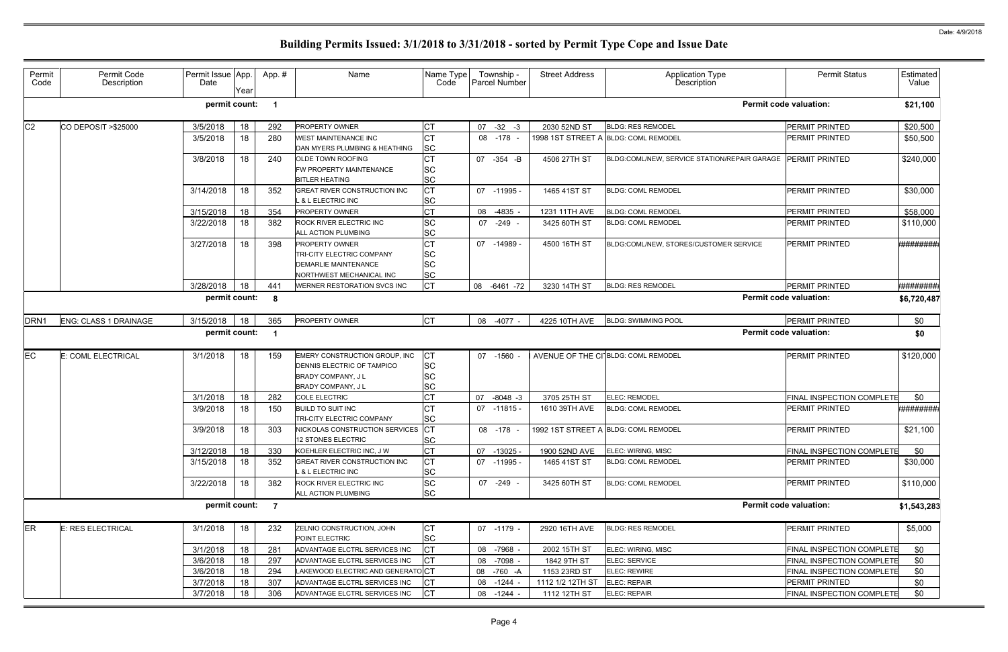| Permit<br>Code   | Permit Code<br>Description   | Permit Issue App.<br>Date | Year | App. #                  | Name                                                                                                                 | Name Type<br>Code                                | Township -<br>Parcel Number | <b>Street Address</b> | Application Type<br>Description                  | <b>Permit Status</b>             | Estimated<br>Value |
|------------------|------------------------------|---------------------------|------|-------------------------|----------------------------------------------------------------------------------------------------------------------|--------------------------------------------------|-----------------------------|-----------------------|--------------------------------------------------|----------------------------------|--------------------|
|                  |                              | permit count:             |      | $\overline{\mathbf{1}}$ |                                                                                                                      |                                                  |                             |                       |                                                  | <b>Permit code valuation:</b>    | \$21,100           |
| C <sub>2</sub>   | CO DEPOSIT > \$25000         | 3/5/2018                  | 18   | 292                     | <b>PROPERTY OWNER</b>                                                                                                | IСТ                                              | $07 -32 -3$                 | 2030 52ND ST          | <b>BLDG: RES REMODEL</b>                         | PERMIT PRINTED                   | \$20,500           |
|                  |                              | 3/5/2018                  | 18   | 280                     | <b>WEST MAINTENANCE INC</b><br>DAN MYERS PLUMBING & HEATHING                                                         | <b>CT</b><br><b>SC</b>                           | 08<br>-178                  |                       | 1998 1ST STREET A BLDG: COML REMODEL             | <b>PERMIT PRINTED</b>            | \$50,500           |
|                  |                              | 3/8/2018                  | 18   | 240                     | <b>OLDE TOWN ROOFING</b><br>FW PROPERTY MAINTENANCE<br><b>BITLER HEATING</b>                                         | СT<br><b>SC</b><br><b>SC</b>                     | 07 - 354 - B                | 4506 27TH ST          | BLDG:COML/NEW, SERVICE STATION/REPAIR GARAGE     | <b>PERMIT PRINTED</b>            | \$240,000          |
|                  |                              | 3/14/2018                 | 18   | 352                     | <b>GREAT RIVER CONSTRUCTION INC</b><br>L & L ELECTRIC INC                                                            | <b>CT</b><br><b>SC</b>                           | 07 -11995 -                 | 1465 41ST ST          | <b>BLDG: COML REMODEL</b>                        | <b>PERMIT PRINTED</b>            | \$30,000           |
|                  |                              | 3/15/2018                 | 18   | 354                     | PROPERTY OWNER                                                                                                       | <b>CT</b>                                        | -4835<br>08                 | 1231 11TH AVE         | <b>BLDG: COML REMODEL</b>                        | PERMIT PRINTED                   | \$58,000           |
|                  |                              | 3/22/2018                 | 18   | 382                     | ROCK RIVER ELECTRIC INC<br>ALL ACTION PLUMBING                                                                       | <b>SC</b><br><b>SC</b>                           | -249<br>07                  | 3425 60TH ST          | <b>BLDG: COML REMODEL</b>                        | <b>PERMIT PRINTED</b>            | \$110,000          |
|                  |                              | 3/27/2018                 | 18   | 398                     | <b>PROPERTY OWNER</b><br><b>TRI-CITY ELECTRIC COMPANY</b><br><b>DEMARLIE MAINTENANCE</b><br>NORTHWEST MECHANICAL INC | <b>CT</b><br><b>SC</b><br><b>SC</b><br><b>SC</b> | 07 -14989 -                 | 4500 16TH ST          | BLDG:COML/NEW, STORES/CUSTOMER SERVICE           | <b>PERMIT PRINTED</b>            | *#########         |
|                  |                              | 3/28/2018                 | 18   | 441                     | <b>WERNER RESTORATION SVCS INC</b>                                                                                   | <b>CT</b>                                        | 08 -6461 -72                | 3230 14TH ST          | <b>BLDG: RES REMODEL</b>                         | <b>PERMIT PRINTED</b>            | *########          |
|                  |                              | permit count:             |      | 8                       |                                                                                                                      |                                                  |                             |                       |                                                  | <b>Permit code valuation:</b>    | \$6,720,487        |
| DRN <sub>1</sub> | <b>ENG: CLASS 1 DRAINAGE</b> | 3/15/2018                 | 18   | 365                     | PROPERTY OWNER                                                                                                       | <b>I</b> CT                                      | 08 -4077 -                  | 4225 10TH AVE         | <b>BLDG: SWIMMING POOL</b>                       | <b>PERMIT PRINTED</b>            | \$0                |
|                  |                              | permit count:             |      |                         |                                                                                                                      |                                                  |                             |                       |                                                  | <b>Permit code valuation:</b>    | \$0                |
| EC               | E: COML ELECTRICAL           | 3/1/2018                  | 18   | 159                     | EMERY CONSTRUCTION GROUP, INC<br>DENNIS ELECTRIC OF TAMPICO<br><b>BRADY COMPANY, JL</b><br><b>BRADY COMPANY, JL</b>  | CТ<br><b>SC</b><br><b>SC</b><br><b>SC</b>        | 07 -1560                    |                       | AVENUE OF THE CI <sup>-</sup> BLDG: COML REMODEL | <b>PERMIT PRINTED</b>            | \$120,000          |
|                  |                              | 3/1/2018                  | 18   | 282                     | <b>COLE ELECTRIC</b>                                                                                                 | <b>CT</b>                                        | $-8048 - 3$<br>07           | 3705 25TH ST          | <b>ELEC: REMODEL</b>                             | <b>FINAL INSPECTION COMPLETE</b> | \$0                |
|                  |                              | 3/9/2018                  | 18   | 150                     | <b>BUILD TO SUIT INC</b><br>TRI-CITY ELECTRIC COMPANY                                                                | СT<br>SC                                         | $07 - 11815 -$              | 1610 39TH AVE         | <b>BLDG: COML REMODEL</b>                        | <b>PERMIT PRINTED</b>            | *########          |
|                  |                              | 3/9/2018                  | 18   | 303                     | NICKOLAS CONSTRUCTION SERVICES CT<br>12 STONES ELECTRIC                                                              | <b>SC</b>                                        | 08 -178 -                   |                       | 1992 1ST STREET A BLDG: COML REMODEL             | <b>PERMIT PRINTED</b>            | \$21,100           |
|                  |                              | 3/12/2018                 | 18   | 330                     | KOEHLER ELECTRIC INC. J W                                                                                            | <b>CT</b>                                        | 07<br>-13025 -              | 1900 52ND AVE         | ELEC: WIRING, MISC                               | <b>FINAL INSPECTION COMPLETE</b> | \$0                |
|                  |                              | 3/15/2018                 | 18   | 352                     | <b>GREAT RIVER CONSTRUCTION INC</b><br>L & L ELECTRIC INC                                                            | <b>CT</b><br><b>SC</b>                           | 07 -11995 -                 | 1465 41ST ST          | <b>BLDG: COML REMODEL</b>                        | <b>PERMIT PRINTED</b>            | \$30,000           |
|                  |                              | 3/22/2018                 | 18   | 382                     | ROCK RIVER ELECTRIC INC<br>ALL ACTION PLUMBING                                                                       | <b>SC</b><br><b>SC</b>                           | 07 -249 -                   | 3425 60TH ST          | <b>BLDG: COML REMODEL</b>                        | <b>PERMIT PRINTED</b>            | \$110,000          |
|                  |                              | permit count:             |      | $\overline{7}$          |                                                                                                                      |                                                  |                             |                       |                                                  | <b>Permit code valuation:</b>    | \$1,543,283        |
| <b>ER</b>        | E: RES ELECTRICAL            | 3/1/2018                  | 18   | 232                     | ZELNIO CONSTRUCTION, JOHN<br>POINT ELECTRIC                                                                          | СT<br><b>SC</b>                                  | 07 -1179 -                  | 2920 16TH AVE         | <b>BLDG: RES REMODEL</b>                         | <b>PERMIT PRINTED</b>            | \$5,000            |
|                  |                              | 3/1/2018                  | 18   | 281                     | ADVANTAGE ELCTRL SERVICES INC                                                                                        | <b>CT</b>                                        | 08 -7968 -                  | 2002 15TH ST          | ELEC: WIRING, MISC                               | <b>FINAL INSPECTION COMPLETE</b> | \$0                |
|                  |                              | 3/6/2018                  | 18   | 297                     | ADVANTAGE ELCTRL SERVICES INC                                                                                        | <b>CT</b>                                        | 08 -7098 -                  | 1842 9TH ST           | <b>ELEC: SERVICE</b>                             | <b>FINAL INSPECTION COMPLETE</b> | \$0                |
|                  |                              | 3/6/2018                  | 18   | 294                     | LAKEWOOD ELECTRIC AND GENERATOCT                                                                                     |                                                  | 08 -760 -A                  | 1153 23RD ST          | <b>ELEC: REWIRE</b>                              | <b>FINAL INSPECTION COMPLETE</b> | \$0                |
|                  |                              | 3/7/2018                  | 18   | 307                     | ADVANTAGE ELCTRL SERVICES INC                                                                                        | <b>CT</b>                                        | $-1244$<br>08               | 1112 1/2 12TH ST      | ELEC: REPAIR                                     | <b>PERMIT PRINTED</b>            | \$0                |
|                  |                              | 3/7/2018                  | 18   | 306                     | ADVANTAGE ELCTRL SERVICES INC                                                                                        | CТ                                               | 08 - 1244 -                 | 1112 12TH ST          | ELEC: REPAIR                                     | <b>FINAL INSPECTION COMPLETE</b> | \$0                |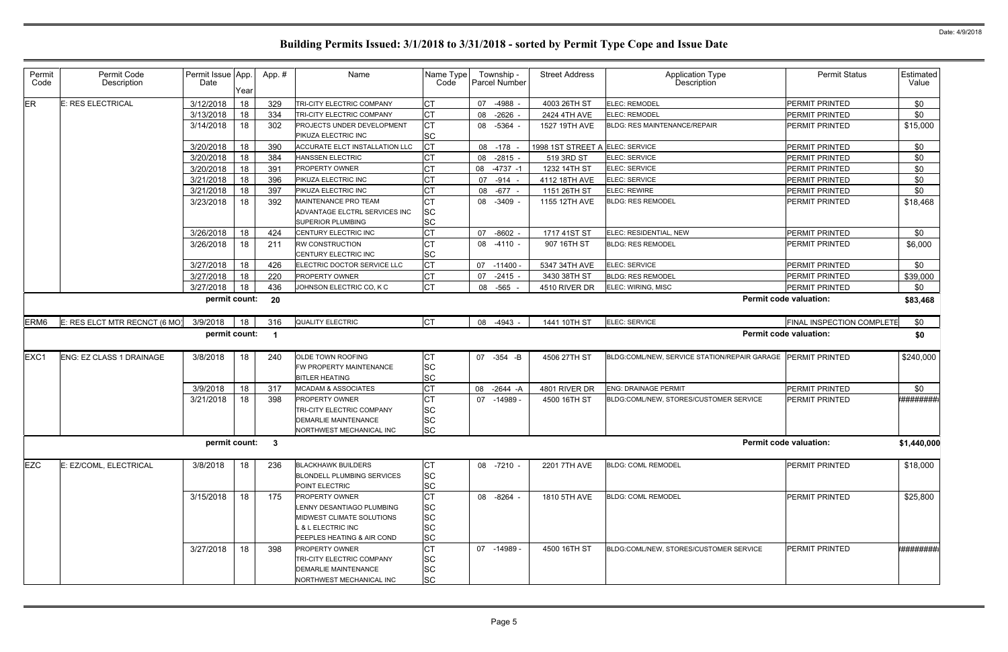| Permit<br>Code   | Permit Code<br>Description      | Permit Issue App.<br>Date | Year | App.# | Name                                                                                                                                           | Name Type<br>Code                                             | Township -<br><b>Parcel Number</b> | <b>Street Address</b>           | Application Type<br>Description              | <b>Permit Status</b>             | Estimated<br>Value |
|------------------|---------------------------------|---------------------------|------|-------|------------------------------------------------------------------------------------------------------------------------------------------------|---------------------------------------------------------------|------------------------------------|---------------------------------|----------------------------------------------|----------------------------------|--------------------|
| ER               | E: RES ELECTRICAL               | 3/12/2018                 | 18   | 329   | TRI-CITY ELECTRIC COMPANY                                                                                                                      | CT                                                            | 07<br>-4988 -                      | 4003 26TH ST                    | <b>ELEC: REMODEL</b>                         | <b>PERMIT PRINTED</b>            | \$0                |
|                  |                                 | 3/13/2018                 | 18   | 334   | TRI-CITY ELECTRIC COMPANY                                                                                                                      | <b>CT</b>                                                     | $-2626$ -<br>08                    | 2424 4TH AVE                    | ELEC: REMODEL                                | <b>PERMIT PRINTED</b>            | \$0                |
|                  |                                 | 3/14/2018                 | 18   | 302   | PROJECTS UNDER DEVELOPMENT<br>PIKUZA ELECTRIC INC                                                                                              | <b>CT</b><br><b>SC</b>                                        | 08 -5364 -                         | 1527 19TH AVE                   | <b>BLDG: RES MAINTENANCE/REPAIR</b>          | <b>PERMIT PRINTED</b>            | \$15,000           |
|                  |                                 | 3/20/2018                 | 18   | 390   | <b>ACCURATE ELCT INSTALLATION LLC</b>                                                                                                          | <b>CT</b>                                                     | 08 -178                            | 1998 1ST STREET A ELEC: SERVICE |                                              | <b>PERMIT PRINTED</b>            | \$0                |
|                  |                                 | 3/20/2018                 | 18   | 384   | <b>HANSSEN ELECTRIC</b>                                                                                                                        | СT                                                            | $-2815 -$<br>08                    | 519 3RD ST                      | ELEC: SERVICE                                | <b>PERMIT PRINTED</b>            | \$0                |
|                  |                                 | 3/20/2018                 | 18   | 391   | PROPERTY OWNER                                                                                                                                 | <b>CT</b>                                                     | 08<br>$-4737 - 1$                  | 1232 14TH ST                    | <b>ELEC: SERVICE</b>                         | PERMIT PRINTED                   | \$0                |
|                  |                                 | 3/21/2018                 | 18   | 396   | PIKUZA ELECTRIC INC                                                                                                                            | СT                                                            | $-914 -$<br>07                     | 4112 18TH AVE                   | ELEC: SERVICE                                | <b>PERMIT PRINTED</b>            | \$0                |
|                  |                                 | 3/21/2018                 | 18   | 397   | PIKUZA ELECTRIC INC                                                                                                                            | СT                                                            | $-677 -$<br>08                     | 1151 26TH ST                    | <b>ELEC: REWIRE</b>                          | PERMIT PRINTED                   | \$0                |
|                  |                                 | 3/23/2018                 | 18   | 392   | <b>MAINTENANCE PRO TEAM</b>                                                                                                                    | <b>CT</b>                                                     | $-3409 -$<br>08                    | 1155 12TH AVE                   | <b>BLDG: RES REMODEL</b>                     | <b>PERMIT PRINTED</b>            | \$18,468           |
|                  |                                 |                           |      |       | ADVANTAGE ELCTRL SERVICES INC<br><b>SUPERIOR PLUMBING</b>                                                                                      | <b>SC</b><br><b>SC</b>                                        |                                    |                                 |                                              |                                  |                    |
|                  |                                 | 3/26/2018                 | 18   | 424   | CENTURY ELECTRIC INC                                                                                                                           | <b>CT</b>                                                     | 07<br>$-8602 -$                    | 1717 41ST ST                    | ELEC: RESIDENTIAL, NEW                       | <b>PERMIT PRINTED</b>            | \$0                |
|                  |                                 | 3/26/2018                 | 18   | 211   | <b>RW CONSTRUCTION</b>                                                                                                                         | СT                                                            | 08 -4110 -                         | 907 16TH ST                     | <b>BLDG: RES REMODEL</b>                     | <b>PERMIT PRINTED</b>            | \$6,000            |
|                  |                                 |                           |      |       | CENTURY ELECTRIC INC                                                                                                                           | <b>SC</b>                                                     |                                    |                                 |                                              |                                  |                    |
|                  |                                 | 3/27/2018                 | 18   | 426   | ELECTRIC DOCTOR SERVICE LLC                                                                                                                    | <b>CT</b>                                                     | 07 -11400 -                        | 5347 34TH AVE                   | ELEC: SERVICE                                | <b>PERMIT PRINTED</b>            | \$0                |
|                  |                                 | 3/27/2018                 | 18   | 220   | PROPERTY OWNER                                                                                                                                 | <b>CT</b>                                                     | $-2415 -$<br>07                    | 3430 38TH ST                    | <b>BLDG: RES REMODEL</b>                     | <b>PERMIT PRINTED</b>            | \$39,000           |
|                  |                                 | 3/27/2018                 | 18   | 436   | JOHNSON ELECTRIC CO, K C                                                                                                                       | <b>CT</b>                                                     | -565 -<br>08                       | 4510 RIVER DR                   | ELEC: WIRING, MISC                           | PERMIT PRINTED                   | \$0                |
|                  |                                 | permit count:             |      | 20    |                                                                                                                                                |                                                               |                                    |                                 |                                              | <b>Permit code valuation:</b>    | \$83,468           |
| ERM <sub>6</sub> | E: RES ELCT MTR RECNCT (6 MO)   | 3/9/2018                  | 18   | 316   | <b>QUALITY ELECTRIC</b>                                                                                                                        | Iст                                                           | 08 -4943 -                         | 1441 10TH ST                    | ELEC: SERVICE                                | <b>FINAL INSPECTION COMPLETE</b> | \$0                |
|                  |                                 | permit count:             |      | - 1   |                                                                                                                                                |                                                               |                                    |                                 |                                              | <b>Permit code valuation:</b>    | \$0                |
| EXC <sub>1</sub> | <b>ENG: EZ CLASS 1 DRAINAGE</b> | 3/8/2018                  | 18   | 240   | OLDE TOWN ROOFING<br>FW PROPERTY MAINTENANCE                                                                                                   | <b>CT</b><br><b>SC</b>                                        | 07 -354 -B                         | 4506 27TH ST                    | BLDG:COML/NEW, SERVICE STATION/REPAIR GARAGE | <b>PERMIT PRINTED</b>            | \$240,000          |
|                  |                                 |                           |      |       | <b>BITLER HEATING</b>                                                                                                                          | <b>SC</b>                                                     |                                    |                                 |                                              |                                  |                    |
|                  |                                 | 3/9/2018                  | 18   | 317   | <b>MCADAM &amp; ASSOCIATES</b>                                                                                                                 | <b>CT</b>                                                     | 08 -2644 -A                        | 4801 RIVER DR                   | <b>ENG: DRAINAGE PERMIT</b>                  | <b>PERMIT PRINTED</b>            | \$0                |
|                  |                                 | 3/21/2018                 | 18   | 398   | PROPERTY OWNER<br>TRI-CITY ELECTRIC COMPANY                                                                                                    | <b>CT</b><br><b>SC</b>                                        | 07<br>-14989 -                     | 4500 16TH ST                    | BLDG:COML/NEW, STORES/CUSTOMER SERVICE       | <b>PERMIT PRINTED</b>            | *#########         |
|                  |                                 |                           |      |       | <b>DEMARLIE MAINTENANCE</b><br>NORTHWEST MECHANICAL INC                                                                                        | <b>SC</b><br><b>SC</b>                                        |                                    |                                 |                                              |                                  |                    |
|                  |                                 | permit count: 3           |      |       |                                                                                                                                                |                                                               |                                    |                                 |                                              | <b>Permit code valuation:</b>    | \$1,440,000        |
| <b>EZC</b>       | E: EZ/COML, ELECTRICAL          | 3/8/2018                  | 18   | 236   | <b>BLACKHAWK BUILDERS</b><br>BLONDELL PLUMBING SERVICES<br>POINT ELECTRIC                                                                      | <b>CT</b><br><b>SC</b><br>lsc                                 | 08 -7210 -                         | 2201 7TH AVE                    | <b>BLDG: COML REMODEL</b>                    | <b>PERMIT PRINTED</b>            | \$18,000           |
|                  |                                 | 3/15/2018                 | 18   | 175   | <b>PROPERTY OWNER</b><br>LENNY DESANTIAGO PLUMBING<br>MIDWEST CLIMATE SOLUTIONS<br>L & L ELECTRIC INC<br><b>PEEPLES HEATING &amp; AIR COND</b> | <b>CT</b><br><b>SC</b><br><b>SC</b><br><b>SC</b><br><b>SC</b> | 08 -8264 -                         | 1810 5TH AVE                    | <b>BLDG: COML REMODEL</b>                    | <b>PERMIT PRINTED</b>            | \$25,800           |
|                  |                                 | 3/27/2018                 | 18   | 398   | <b>PROPERTY OWNER</b><br>TRI-CITY ELECTRIC COMPANY<br><b>DEMARLIE MAINTENANCE</b><br>NORTHWEST MECHANICAL INC                                  | <b>CT</b><br><b>SC</b><br><b>SC</b><br><b>SC</b>              | 07 -14989 -                        | 4500 16TH ST                    | BLDG:COML/NEW, STORES/CUSTOMER SERVICE       | <b>PERMIT PRINTED</b>            | *#########         |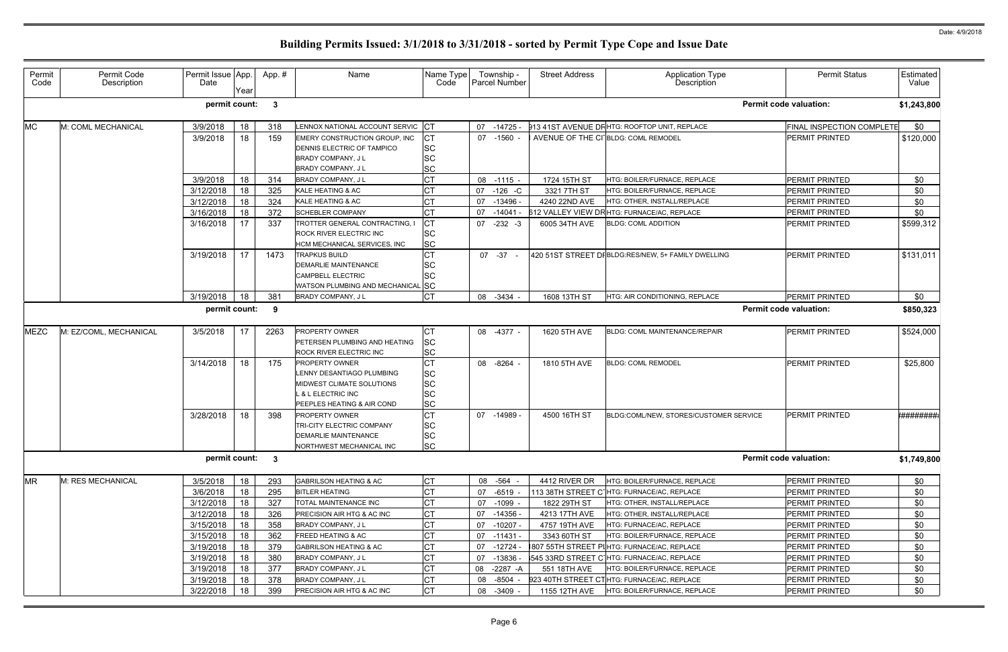| Permit<br>Code | Permit Code<br>Description | Permit Issue App.<br>Date | Year            | App.#        | Name                              | Name Type<br>Code |    | Township -<br><b>Parcel Number</b> | <b>Street Address</b> | Application Type<br>Description                          | <b>Permit Status</b>             | Estimated<br>Value |
|----------------|----------------------------|---------------------------|-----------------|--------------|-----------------------------------|-------------------|----|------------------------------------|-----------------------|----------------------------------------------------------|----------------------------------|--------------------|
|                |                            | permit count:             |                 | $\mathbf{3}$ |                                   |                   |    |                                    |                       |                                                          | <b>Permit code valuation:</b>    | \$1,243,800        |
| <b>MC</b>      | M: COML MECHANICAL         | 3/9/2018                  | 18              | 318          | LENNOX NATIONAL ACCOUNT SERVIC CT |                   |    | 07 -14725 -                        |                       | 913 41ST AVENUE DF HTG: ROOFTOP UNIT, REPLACE            | <b>FINAL INSPECTION COMPLETE</b> | \$0                |
|                |                            | 3/9/2018                  | 18              | 159          | EMERY CONSTRUCTION GROUP, INC     | СT                |    | 07 -1560 -                         |                       | AVENUE OF THE CI BLDG: COML REMODEL                      | <b>PERMIT PRINTED</b>            | \$120,000          |
|                |                            |                           |                 |              | DENNIS ELECTRIC OF TAMPICO        | <b>SC</b>         |    |                                    |                       |                                                          |                                  |                    |
|                |                            |                           |                 |              | <b>BRADY COMPANY, JL</b>          | <b>SC</b>         |    |                                    |                       |                                                          |                                  |                    |
|                |                            |                           |                 |              | BRADY COMPANY, J L                | <b>SC</b>         |    |                                    |                       |                                                          |                                  |                    |
|                |                            | 3/9/2018                  | 18              | 314          | BRADY COMPANY, J L                | СT                |    | 08 -1115 -                         | 1724 15TH ST          | HTG: BOILER/FURNACE, REPLACE                             | <b>PERMIT PRINTED</b>            | \$0                |
|                |                            | 3/12/2018                 | 18              | 325          | KALE HEATING & AC                 | СT                | 07 | $-126$ -C                          | 3321 7TH ST           | <b>ITG: BOILER/FURNACE, REPLACE</b>                      | <b>PERMIT PRINTED</b>            | \$0                |
|                |                            | 3/12/2018                 | 18              | 324          | KALE HEATING & AC                 |                   | 07 | -13496 -                           | 4240 22ND AVE         | HTG: OTHER, INSTALL/REPLACE                              | <b>PERMIT PRINTED</b>            | \$0                |
|                |                            | 3/16/2018                 | 18              | 372          | SCHEBLER COMPANY                  | СT                | 07 | $-14041$                           |                       | 612 VALLEY VIEW DRHTG: FURNACE/AC, REPLACE               | <b>PERMIT PRINTED</b>            | \$0                |
|                |                            | 3/16/2018                 | 17              | 337          | TROTTER GENERAL CONTRACTING, I    | СT                | 07 | $-232 - 3$                         | 6005 34TH AVE         | <b>BLDG: COML ADDITION</b>                               | <b>PERMIT PRINTED</b>            | \$599,312          |
|                |                            |                           |                 |              | ROCK RIVER ELECTRIC INC           | <b>SC</b>         |    |                                    |                       |                                                          |                                  |                    |
|                |                            |                           |                 |              | HCM MECHANICAL SERVICES, INC      | <b>SC</b>         |    |                                    |                       |                                                          |                                  |                    |
|                |                            | 3/19/2018                 | 17 <sup>2</sup> | 1473         | <b>TRAPKUS BUILD</b>              | СT                |    | 07 -37                             |                       | 420 51ST STREET DFBLDG:RES/NEW, 5+ FAMILY DWELLING       | <b>PERMIT PRINTED</b>            | \$131,011          |
|                |                            |                           |                 |              | <b>DEMARLIE MAINTENANCE</b>       | SC                |    |                                    |                       |                                                          |                                  |                    |
|                |                            |                           |                 |              | <b>CAMPBELL ELECTRIC</b>          | <b>SC</b>         |    |                                    |                       |                                                          |                                  |                    |
|                |                            |                           |                 |              | WATSON PLUMBING AND MECHANICAL SC |                   |    |                                    | 1608 13TH ST          |                                                          |                                  |                    |
|                |                            | 3/19/2018                 | 18              | 381          | BRADY COMPANY, J L                | <b>CT</b>         |    | 08 -3434 -                         |                       | <b>HTG: AIR CONDITIONING, REPLACE</b>                    | <b>PERMIT PRINTED</b>            | \$0                |
|                |                            | permit count:             |                 | 9            |                                   |                   |    |                                    |                       |                                                          | <b>Permit code valuation:</b>    | \$850,323          |
| <b>MEZC</b>    | M: EZ/COML, MECHANICAL     | 3/5/2018                  | 17              | 2263         | <b>PROPERTY OWNER</b>             | CТ                |    | 08 -4377 -                         | 1620 5TH AVE          | BLDG: COML MAINTENANCE/REPAIR                            | <b>PERMIT PRINTED</b>            | \$524,000          |
|                |                            |                           |                 |              | PETERSEN PLUMBING AND HEATING     | <b>SC</b>         |    |                                    |                       |                                                          |                                  |                    |
|                |                            |                           |                 |              | ROCK RIVER ELECTRIC INC           | <b>SC</b>         |    |                                    |                       |                                                          |                                  |                    |
|                |                            | 3/14/2018                 | 18              | 175          | PROPERTY OWNER                    | <b>CT</b>         |    | 08 -8264 -                         | 1810 5TH AVE          | <b>BLDG: COML REMODEL</b>                                | PERMIT PRINTED                   | \$25,800           |
|                |                            |                           |                 |              | LENNY DESANTIAGO PLUMBING         | <b>SC</b>         |    |                                    |                       |                                                          |                                  |                    |
|                |                            |                           |                 |              | MIDWEST CLIMATE SOLUTIONS         | <b>SC</b>         |    |                                    |                       |                                                          |                                  |                    |
|                |                            |                           |                 |              | L & L ELECTRIC INC                | <b>SC</b>         |    |                                    |                       |                                                          |                                  |                    |
|                |                            |                           |                 |              | PEEPLES HEATING & AIR COND        | <b>SC</b>         |    |                                    |                       |                                                          |                                  |                    |
|                |                            | 3/28/2018                 | 18              | 398          | PROPERTY OWNER                    | СT                |    | 07 -14989 -                        | 4500 16TH ST          | BLDG:COML/NEW, STORES/CUSTOMER SERVICE                   | <b>PERMIT PRINTED</b>            | <b>*########</b>   |
|                |                            |                           |                 |              | TRI-CITY ELECTRIC COMPANY         | <b>SC</b>         |    |                                    |                       |                                                          |                                  |                    |
|                |                            |                           |                 |              | DEMARLIE MAINTENANCE              | <b>SC</b>         |    |                                    |                       |                                                          |                                  |                    |
|                |                            |                           |                 |              | NORTHWEST MECHANICAL INC          | <b>SC</b>         |    |                                    |                       |                                                          |                                  |                    |
|                |                            | permit count: 3           |                 |              |                                   |                   |    |                                    |                       |                                                          | <b>Permit code valuation:</b>    | \$1,749,800        |
| <b>MR</b>      | M: RES MECHANICAL          | 3/5/2018                  | 18              | 293          | <b>GABRILSON HEATING &amp; AC</b> | CT                |    | 08 - 564 -                         | 4412 RIVER DR         | HTG: BOILER/FURNACE, REPLACE                             | PERMIT PRINTED                   | \$0                |
|                |                            | 3/6/2018                  | 18              | 295          | <b>BITLER HEATING</b>             |                   | 07 | $-6519 -$                          |                       | 113 38TH STREET C <sup>-</sup> IHTG: FURNACE/AC, REPLACE | <b>PERMIT PRINTED</b>            | \$0                |
|                |                            | 3/12/2018                 | 18              | 327          | TOTAL MAINTENANCE INC             |                   | 07 | $-1099 -$                          | 1822 29TH ST          | HTG: OTHER, INSTALL/REPLACE                              | <b>PERMIT PRINTED</b>            | \$0                |
|                |                            | 3/12/2018                 | 18              | 326          | PRECISION AIR HTG & AC INC        | СT                | 07 | -14356 -                           | 4213 17TH AVE         | HTG: OTHER, INSTALL/REPLACE                              | PERMIT PRINTED                   | \$0                |
|                |                            | 3/15/2018                 | 18              | 358          | <b>BRADY COMPANY, JL</b>          | СT                |    | 07 -10207 -                        | 4757 19TH AVE         | HTG: FURNACE/AC, REPLACE                                 | <b>PERMIT PRINTED</b>            | \$0                |
|                |                            | 3/15/2018                 | 18              | 362          | FREED HEATING & AC                |                   | 07 | -11431 -                           | 3343 60TH ST          | HTG: BOILER/FURNACE, REPLACE                             | PERMIT PRINTED                   | \$0                |
|                |                            | 3/19/2018                 | 18              | 379          | <b>GABRILSON HEATING &amp; AC</b> |                   | 07 | -12724                             |                       | 807 55TH STREET PIHTG: FURNACE/AC, REPLACE               | <b>PERMIT PRINTED</b>            | \$0                |
|                |                            | 3/19/2018                 | 18              | 380          | BRADY COMPANY, J L                | СT                | 07 | $-13836$                           |                       | 545 33RD STREET C HTG: FURNACE/AC, REPLACE               | <b>PERMIT PRINTED</b>            | \$0                |
|                |                            | 3/19/2018                 | 18              | 377          | BRADY COMPANY, J L                | <b>CT</b>         |    | 08 -2287 -A                        | 551 18TH AVE          | HTG: BOILER/FURNACE, REPLACE                             | PERMIT PRINTED                   | \$0                |
|                |                            | 3/19/2018                 | 18              | 378          | BRADY COMPANY, J L                |                   | 08 | -8504                              |                       | 923 40TH STREET CTHTG: FURNACE/AC, REPLACE               | <b>PERMIT PRINTED</b>            | \$0                |
|                |                            | 3/22/2018                 | 18              | 399          | PRECISION AIR HTG & AC INC        | СT                |    | 08 -3409 -                         | 1155 12TH AVE         | HTG: BOILER/FURNACE, REPLACE                             | <b>PERMIT PRINTED</b>            | \$0                |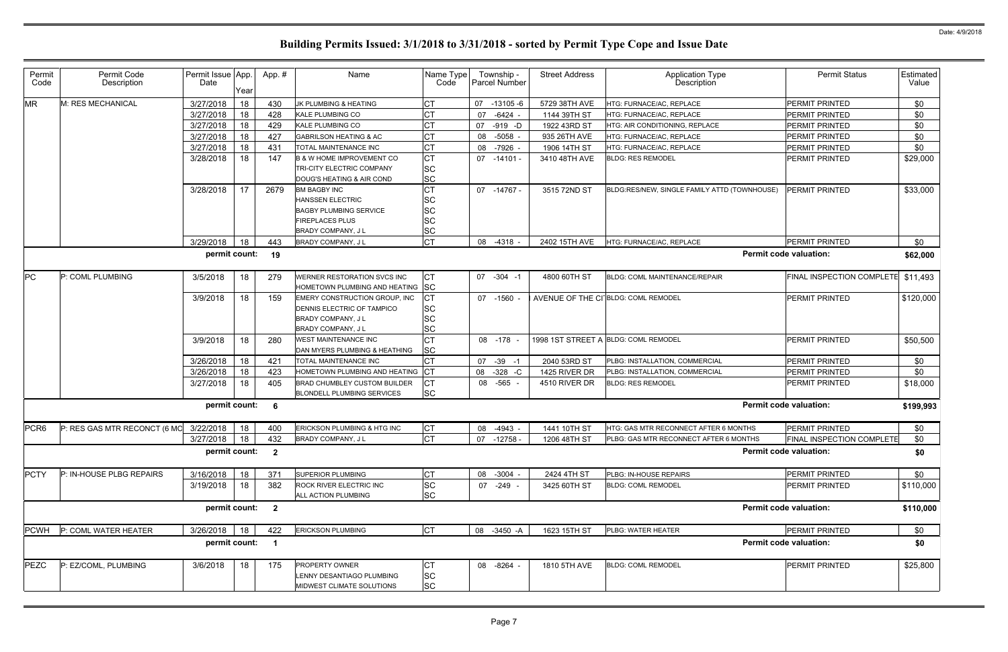| <b>MR</b><br>M: RES MECHANICAL<br>3/27/2018<br>18<br><b>CT</b><br><b>PERMIT PRINTED</b><br>\$0<br>430<br>JK PLUMBING & HEATING<br>07 -13105 -6<br>5729 38TH AVE<br>HTG: FURNACE/AC, REPLACE<br><b>CT</b><br>3/27/2018<br>18<br>428<br>KALE PLUMBING CO<br>07<br>$-6424 -$<br>1144 39TH ST<br>HTG: FURNACE/AC, REPLACE<br><b>PERMIT PRINTED</b><br>\$0<br>3/27/2018<br>18<br>429<br>СT<br>\$0<br><b>KALE PLUMBING CO</b><br>$-919 - D$<br>HTG: AIR CONDITIONING, REPLACE<br><b>PERMIT PRINTED</b><br>07<br>1922 43RD ST<br><b>CT</b><br>3/27/2018<br>18<br>427<br><b>GABRILSON HEATING &amp; AC</b><br>$-5058 -$<br><b>PERMIT PRINTED</b><br>\$0<br>08<br>935 26TH AVE<br>HTG: FURNACE/AC, REPLACE<br>18<br><b>CT</b><br>3/27/2018<br>431<br>\$0<br><b>TOTAL MAINTENANCE INC</b><br>-7926 -<br>1906 14TH ST<br>HTG: FURNACE/AC, REPLACE<br><b>PERMIT PRINTED</b><br>08<br><b>CT</b><br>3/28/2018<br>147<br>18<br>07 -14101 -<br>3410 48TH AVE<br><b>PERMIT PRINTED</b><br>\$29,000<br><b>B &amp; W HOME IMPROVEMENT CO</b><br><b>BLDG: RES REMODEL</b><br><b>SC</b><br>TRI-CITY ELECTRIC COMPANY<br><b>SC</b><br>DOUG'S HEATING & AIR COND<br><b>CT</b><br>3/28/2018<br>17<br>2679<br><b>BM BAGBY INC</b><br>07 -14767 -<br>3515 72ND ST<br>BLDG:RES/NEW, SINGLE FAMILY ATTD (TOWNHOUSE)<br><b>PERMIT PRINTED</b><br><b>SC</b><br><b>HANSSEN ELECTRIC</b><br><b>SC</b><br><b>BAGBY PLUMBING SERVICE</b><br><b>SC</b><br><b>FIREPLACES PLUS</b><br><b>SC</b><br><b>BRADY COMPANY, JL</b><br><b>CT</b><br>3/29/2018<br>18<br>\$0<br>443<br><b>PERMIT PRINTED</b><br><b>BRADY COMPANY, JL</b><br>08 -4318<br>2402 15TH AVE<br><b>ITG: FURNACE/AC, REPLACE</b><br>permit count:<br><b>Permit code valuation:</b><br>19<br>PC<br>P: COML PLUMBING<br><b>FINAL INSPECTION COMPLETE</b><br>3/5/2018<br>279<br>WERNER RESTORATION SVCS INC<br><b>CT</b><br>07 - 304 - 1<br>4800 60TH ST<br>18<br>BLDG: COML MAINTENANCE/REPAIR<br>HOMETOWN PLUMBING AND HEATING SC<br>3/9/2018<br>18<br>СT<br>AVENUE OF THE CI BLDG: COML REMODEL<br><b>PERMIT PRINTED</b><br>159<br>EMERY CONSTRUCTION GROUP, INC<br>07 -1560 -<br>\$120,000<br><b>SC</b><br><b>DENNIS ELECTRIC OF TAMPICO</b><br><b>SC</b><br><b>BRADY COMPANY, JL</b><br><b>SC</b><br>BRADY COMPANY, J L<br><b>CT</b><br>3/9/2018<br>18<br>08 - 178<br>1998 1ST STREET A BLDG: COML REMODEL<br><b>PERMIT PRINTED</b><br>280<br><b>WEST MAINTENANCE INC</b><br><b>SC</b><br>DAN MYERS PLUMBING & HEATHING<br>СT<br>\$0<br>3/26/2018<br>18<br>421<br>$-39 - 1$<br>PLBG: INSTALLATION, COMMERCIAL<br><b>PERMIT PRINTED</b><br>TOTAL MAINTENANCE INC<br>07<br>2040 53RD ST<br>18<br>HOMETOWN PLUMBING AND HEATING CT<br>\$0<br>3/26/2018<br>423<br>$-328$ $-C$<br>PERMIT PRINTED<br>08<br>1425 RIVER DR<br>PLBG: INSTALLATION, COMMERCIAL<br>3/27/2018<br><b>CT</b><br>$-565 -$<br>4510 RIVER DR<br>18<br>405<br>BRAD CHUMBLEY CUSTOM BUILDER<br><b>BLDG: RES REMODEL</b><br><b>PERMIT PRINTED</b><br>08<br><b>SC</b><br><b>BLONDELL PLUMBING SERVICES</b><br><b>Permit code valuation:</b><br>permit count:<br>- 6<br>PCR <sub>6</sub><br>P: RES GAS MTR RECONCT (6 MC 3/22/2018<br><b>CT</b><br>\$0<br>400<br>ERICKSON PLUMBING & HTG INC<br>18<br>1441 10TH ST<br>HTG: GAS MTR RECONNECT AFTER 6 MONTHS<br>PERMIT PRINTED<br>08 -4943 -<br><b>CT</b><br>3/27/2018<br>18<br><b>FINAL INSPECTION COMPLETE</b><br>\$0<br>BRADY COMPANY, J L<br>07 -12758 -<br>1206 48TH ST<br>432<br>PLBG: GAS MTR RECONNECT AFTER 6 MONTHS<br>permit count:<br><b>Permit code valuation:</b><br>\$0<br>$\overline{\mathbf{2}}$<br><b>PCTY</b><br>3/16/2018<br>P: IN-HOUSE PLBG REPAIRS<br>18<br>371<br>СT<br>\$0<br><b>SUPERIOR PLUMBING</b><br>$-3004 -$<br>2424 4TH ST<br>PLBG: IN-HOUSE REPAIRS<br><b>PERMIT PRINTED</b><br>08<br><b>SC</b><br>18<br>07 -249 -<br>3/19/2018<br>382<br>ROCK RIVER ELECTRIC INC<br>3425 60TH ST<br><b>BLDG: COML REMODEL</b><br><b>PERMIT PRINTED</b><br>\$110,000<br><b>SC</b><br>ALL ACTION PLUMBING<br>permit count: 2<br><b>Permit code valuation:</b><br><b>ERICKSON PLUMBING</b><br><b>CT</b><br>PLBG: WATER HEATER<br><b>PCWH</b><br>P: COML WATER HEATER<br>3/26/2018<br>18<br>422<br>08 -3450 -A<br>1623 15TH ST<br><b>PERMIT PRINTED</b><br>\$0<br><b>Permit code valuation:</b><br>permit count:<br>\$0<br>$\overline{\mathbf{1}}$<br>PEZC<br>P: EZ/COML, PLUMBING<br>3/6/2018<br>18<br>1810 5TH AVE<br><b>PERMIT PRINTED</b><br>\$25,800<br>175<br>PROPERTY OWNER<br>СT<br>08 -8264 -<br><b>BLDG: COML REMODEL</b><br><b>SC</b><br>LENNY DESANTIAGO PLUMBING | Permit<br>Code | Permit Code<br>Description | Permit Issue App.<br>Date | Year | App.# | Name                      | Name Type<br>Code | Township -<br><b>Parcel Number</b> | <b>Street Address</b> | <b>Application Type</b><br>Description | <b>Permit Status</b> | Estimated<br>Value |
|----------------------------------------------------------------------------------------------------------------------------------------------------------------------------------------------------------------------------------------------------------------------------------------------------------------------------------------------------------------------------------------------------------------------------------------------------------------------------------------------------------------------------------------------------------------------------------------------------------------------------------------------------------------------------------------------------------------------------------------------------------------------------------------------------------------------------------------------------------------------------------------------------------------------------------------------------------------------------------------------------------------------------------------------------------------------------------------------------------------------------------------------------------------------------------------------------------------------------------------------------------------------------------------------------------------------------------------------------------------------------------------------------------------------------------------------------------------------------------------------------------------------------------------------------------------------------------------------------------------------------------------------------------------------------------------------------------------------------------------------------------------------------------------------------------------------------------------------------------------------------------------------------------------------------------------------------------------------------------------------------------------------------------------------------------------------------------------------------------------------------------------------------------------------------------------------------------------------------------------------------------------------------------------------------------------------------------------------------------------------------------------------------------------------------------------------------------------------------------------------------------------------------------------------------------------------------------------------------------------------------------------------------------------------------------------------------------------------------------------------------------------------------------------------------------------------------------------------------------------------------------------------------------------------------------------------------------------------------------------------------------------------------------------------------------------------------------------------------------------------------------------------------------------------------------------------------------------------------------------------------------------------------------------------------------------------------------------------------------------------------------------------------------------------------------------------------------------------------------------------------------------------------------------------------------------------------------------------------------------------------------------------------------------------------------------------------------------------------------------------------------------------------------------------------------------------------------------------------------------------------------------------------------------------------------------------------------------------------------------------------------------------------------------------------------------------------------------------------------------------------------------------------------------------------------------------------------------------------------------------------------------------------------------------------------------------------------------------------------------------------------------------------------------------------------------------------------------------------------------------------------------------------------|----------------|----------------------------|---------------------------|------|-------|---------------------------|-------------------|------------------------------------|-----------------------|----------------------------------------|----------------------|--------------------|
|                                                                                                                                                                                                                                                                                                                                                                                                                                                                                                                                                                                                                                                                                                                                                                                                                                                                                                                                                                                                                                                                                                                                                                                                                                                                                                                                                                                                                                                                                                                                                                                                                                                                                                                                                                                                                                                                                                                                                                                                                                                                                                                                                                                                                                                                                                                                                                                                                                                                                                                                                                                                                                                                                                                                                                                                                                                                                                                                                                                                                                                                                                                                                                                                                                                                                                                                                                                                                                                                                                                                                                                                                                                                                                                                                                                                                                                                                                                                                                                                                                                                                                                                                                                                                                                                                                                                                                                                                                                                                                                                  |                |                            |                           |      |       |                           |                   |                                    |                       |                                        |                      |                    |
|                                                                                                                                                                                                                                                                                                                                                                                                                                                                                                                                                                                                                                                                                                                                                                                                                                                                                                                                                                                                                                                                                                                                                                                                                                                                                                                                                                                                                                                                                                                                                                                                                                                                                                                                                                                                                                                                                                                                                                                                                                                                                                                                                                                                                                                                                                                                                                                                                                                                                                                                                                                                                                                                                                                                                                                                                                                                                                                                                                                                                                                                                                                                                                                                                                                                                                                                                                                                                                                                                                                                                                                                                                                                                                                                                                                                                                                                                                                                                                                                                                                                                                                                                                                                                                                                                                                                                                                                                                                                                                                                  |                |                            |                           |      |       |                           |                   |                                    |                       |                                        |                      |                    |
|                                                                                                                                                                                                                                                                                                                                                                                                                                                                                                                                                                                                                                                                                                                                                                                                                                                                                                                                                                                                                                                                                                                                                                                                                                                                                                                                                                                                                                                                                                                                                                                                                                                                                                                                                                                                                                                                                                                                                                                                                                                                                                                                                                                                                                                                                                                                                                                                                                                                                                                                                                                                                                                                                                                                                                                                                                                                                                                                                                                                                                                                                                                                                                                                                                                                                                                                                                                                                                                                                                                                                                                                                                                                                                                                                                                                                                                                                                                                                                                                                                                                                                                                                                                                                                                                                                                                                                                                                                                                                                                                  |                |                            |                           |      |       |                           |                   |                                    |                       |                                        |                      |                    |
|                                                                                                                                                                                                                                                                                                                                                                                                                                                                                                                                                                                                                                                                                                                                                                                                                                                                                                                                                                                                                                                                                                                                                                                                                                                                                                                                                                                                                                                                                                                                                                                                                                                                                                                                                                                                                                                                                                                                                                                                                                                                                                                                                                                                                                                                                                                                                                                                                                                                                                                                                                                                                                                                                                                                                                                                                                                                                                                                                                                                                                                                                                                                                                                                                                                                                                                                                                                                                                                                                                                                                                                                                                                                                                                                                                                                                                                                                                                                                                                                                                                                                                                                                                                                                                                                                                                                                                                                                                                                                                                                  |                |                            |                           |      |       |                           |                   |                                    |                       |                                        |                      |                    |
|                                                                                                                                                                                                                                                                                                                                                                                                                                                                                                                                                                                                                                                                                                                                                                                                                                                                                                                                                                                                                                                                                                                                                                                                                                                                                                                                                                                                                                                                                                                                                                                                                                                                                                                                                                                                                                                                                                                                                                                                                                                                                                                                                                                                                                                                                                                                                                                                                                                                                                                                                                                                                                                                                                                                                                                                                                                                                                                                                                                                                                                                                                                                                                                                                                                                                                                                                                                                                                                                                                                                                                                                                                                                                                                                                                                                                                                                                                                                                                                                                                                                                                                                                                                                                                                                                                                                                                                                                                                                                                                                  |                |                            |                           |      |       |                           |                   |                                    |                       |                                        |                      |                    |
|                                                                                                                                                                                                                                                                                                                                                                                                                                                                                                                                                                                                                                                                                                                                                                                                                                                                                                                                                                                                                                                                                                                                                                                                                                                                                                                                                                                                                                                                                                                                                                                                                                                                                                                                                                                                                                                                                                                                                                                                                                                                                                                                                                                                                                                                                                                                                                                                                                                                                                                                                                                                                                                                                                                                                                                                                                                                                                                                                                                                                                                                                                                                                                                                                                                                                                                                                                                                                                                                                                                                                                                                                                                                                                                                                                                                                                                                                                                                                                                                                                                                                                                                                                                                                                                                                                                                                                                                                                                                                                                                  |                |                            |                           |      |       |                           |                   |                                    |                       |                                        |                      |                    |
|                                                                                                                                                                                                                                                                                                                                                                                                                                                                                                                                                                                                                                                                                                                                                                                                                                                                                                                                                                                                                                                                                                                                                                                                                                                                                                                                                                                                                                                                                                                                                                                                                                                                                                                                                                                                                                                                                                                                                                                                                                                                                                                                                                                                                                                                                                                                                                                                                                                                                                                                                                                                                                                                                                                                                                                                                                                                                                                                                                                                                                                                                                                                                                                                                                                                                                                                                                                                                                                                                                                                                                                                                                                                                                                                                                                                                                                                                                                                                                                                                                                                                                                                                                                                                                                                                                                                                                                                                                                                                                                                  |                |                            |                           |      |       |                           |                   |                                    |                       |                                        |                      |                    |
|                                                                                                                                                                                                                                                                                                                                                                                                                                                                                                                                                                                                                                                                                                                                                                                                                                                                                                                                                                                                                                                                                                                                                                                                                                                                                                                                                                                                                                                                                                                                                                                                                                                                                                                                                                                                                                                                                                                                                                                                                                                                                                                                                                                                                                                                                                                                                                                                                                                                                                                                                                                                                                                                                                                                                                                                                                                                                                                                                                                                                                                                                                                                                                                                                                                                                                                                                                                                                                                                                                                                                                                                                                                                                                                                                                                                                                                                                                                                                                                                                                                                                                                                                                                                                                                                                                                                                                                                                                                                                                                                  |                |                            |                           |      |       |                           |                   |                                    |                       |                                        |                      |                    |
|                                                                                                                                                                                                                                                                                                                                                                                                                                                                                                                                                                                                                                                                                                                                                                                                                                                                                                                                                                                                                                                                                                                                                                                                                                                                                                                                                                                                                                                                                                                                                                                                                                                                                                                                                                                                                                                                                                                                                                                                                                                                                                                                                                                                                                                                                                                                                                                                                                                                                                                                                                                                                                                                                                                                                                                                                                                                                                                                                                                                                                                                                                                                                                                                                                                                                                                                                                                                                                                                                                                                                                                                                                                                                                                                                                                                                                                                                                                                                                                                                                                                                                                                                                                                                                                                                                                                                                                                                                                                                                                                  |                |                            |                           |      |       |                           |                   |                                    |                       |                                        |                      | \$33,000           |
|                                                                                                                                                                                                                                                                                                                                                                                                                                                                                                                                                                                                                                                                                                                                                                                                                                                                                                                                                                                                                                                                                                                                                                                                                                                                                                                                                                                                                                                                                                                                                                                                                                                                                                                                                                                                                                                                                                                                                                                                                                                                                                                                                                                                                                                                                                                                                                                                                                                                                                                                                                                                                                                                                                                                                                                                                                                                                                                                                                                                                                                                                                                                                                                                                                                                                                                                                                                                                                                                                                                                                                                                                                                                                                                                                                                                                                                                                                                                                                                                                                                                                                                                                                                                                                                                                                                                                                                                                                                                                                                                  |                |                            |                           |      |       |                           |                   |                                    |                       |                                        |                      |                    |
|                                                                                                                                                                                                                                                                                                                                                                                                                                                                                                                                                                                                                                                                                                                                                                                                                                                                                                                                                                                                                                                                                                                                                                                                                                                                                                                                                                                                                                                                                                                                                                                                                                                                                                                                                                                                                                                                                                                                                                                                                                                                                                                                                                                                                                                                                                                                                                                                                                                                                                                                                                                                                                                                                                                                                                                                                                                                                                                                                                                                                                                                                                                                                                                                                                                                                                                                                                                                                                                                                                                                                                                                                                                                                                                                                                                                                                                                                                                                                                                                                                                                                                                                                                                                                                                                                                                                                                                                                                                                                                                                  |                |                            |                           |      |       |                           |                   |                                    |                       |                                        |                      |                    |
|                                                                                                                                                                                                                                                                                                                                                                                                                                                                                                                                                                                                                                                                                                                                                                                                                                                                                                                                                                                                                                                                                                                                                                                                                                                                                                                                                                                                                                                                                                                                                                                                                                                                                                                                                                                                                                                                                                                                                                                                                                                                                                                                                                                                                                                                                                                                                                                                                                                                                                                                                                                                                                                                                                                                                                                                                                                                                                                                                                                                                                                                                                                                                                                                                                                                                                                                                                                                                                                                                                                                                                                                                                                                                                                                                                                                                                                                                                                                                                                                                                                                                                                                                                                                                                                                                                                                                                                                                                                                                                                                  |                |                            |                           |      |       |                           |                   |                                    |                       |                                        |                      |                    |
|                                                                                                                                                                                                                                                                                                                                                                                                                                                                                                                                                                                                                                                                                                                                                                                                                                                                                                                                                                                                                                                                                                                                                                                                                                                                                                                                                                                                                                                                                                                                                                                                                                                                                                                                                                                                                                                                                                                                                                                                                                                                                                                                                                                                                                                                                                                                                                                                                                                                                                                                                                                                                                                                                                                                                                                                                                                                                                                                                                                                                                                                                                                                                                                                                                                                                                                                                                                                                                                                                                                                                                                                                                                                                                                                                                                                                                                                                                                                                                                                                                                                                                                                                                                                                                                                                                                                                                                                                                                                                                                                  |                |                            |                           |      |       |                           |                   |                                    |                       |                                        |                      |                    |
|                                                                                                                                                                                                                                                                                                                                                                                                                                                                                                                                                                                                                                                                                                                                                                                                                                                                                                                                                                                                                                                                                                                                                                                                                                                                                                                                                                                                                                                                                                                                                                                                                                                                                                                                                                                                                                                                                                                                                                                                                                                                                                                                                                                                                                                                                                                                                                                                                                                                                                                                                                                                                                                                                                                                                                                                                                                                                                                                                                                                                                                                                                                                                                                                                                                                                                                                                                                                                                                                                                                                                                                                                                                                                                                                                                                                                                                                                                                                                                                                                                                                                                                                                                                                                                                                                                                                                                                                                                                                                                                                  |                |                            |                           |      |       |                           |                   |                                    |                       |                                        |                      |                    |
|                                                                                                                                                                                                                                                                                                                                                                                                                                                                                                                                                                                                                                                                                                                                                                                                                                                                                                                                                                                                                                                                                                                                                                                                                                                                                                                                                                                                                                                                                                                                                                                                                                                                                                                                                                                                                                                                                                                                                                                                                                                                                                                                                                                                                                                                                                                                                                                                                                                                                                                                                                                                                                                                                                                                                                                                                                                                                                                                                                                                                                                                                                                                                                                                                                                                                                                                                                                                                                                                                                                                                                                                                                                                                                                                                                                                                                                                                                                                                                                                                                                                                                                                                                                                                                                                                                                                                                                                                                                                                                                                  |                |                            |                           |      |       |                           |                   |                                    |                       |                                        |                      | \$62,000           |
|                                                                                                                                                                                                                                                                                                                                                                                                                                                                                                                                                                                                                                                                                                                                                                                                                                                                                                                                                                                                                                                                                                                                                                                                                                                                                                                                                                                                                                                                                                                                                                                                                                                                                                                                                                                                                                                                                                                                                                                                                                                                                                                                                                                                                                                                                                                                                                                                                                                                                                                                                                                                                                                                                                                                                                                                                                                                                                                                                                                                                                                                                                                                                                                                                                                                                                                                                                                                                                                                                                                                                                                                                                                                                                                                                                                                                                                                                                                                                                                                                                                                                                                                                                                                                                                                                                                                                                                                                                                                                                                                  |                |                            |                           |      |       |                           |                   |                                    |                       |                                        |                      | \$11,493           |
|                                                                                                                                                                                                                                                                                                                                                                                                                                                                                                                                                                                                                                                                                                                                                                                                                                                                                                                                                                                                                                                                                                                                                                                                                                                                                                                                                                                                                                                                                                                                                                                                                                                                                                                                                                                                                                                                                                                                                                                                                                                                                                                                                                                                                                                                                                                                                                                                                                                                                                                                                                                                                                                                                                                                                                                                                                                                                                                                                                                                                                                                                                                                                                                                                                                                                                                                                                                                                                                                                                                                                                                                                                                                                                                                                                                                                                                                                                                                                                                                                                                                                                                                                                                                                                                                                                                                                                                                                                                                                                                                  |                |                            |                           |      |       |                           |                   |                                    |                       |                                        |                      |                    |
|                                                                                                                                                                                                                                                                                                                                                                                                                                                                                                                                                                                                                                                                                                                                                                                                                                                                                                                                                                                                                                                                                                                                                                                                                                                                                                                                                                                                                                                                                                                                                                                                                                                                                                                                                                                                                                                                                                                                                                                                                                                                                                                                                                                                                                                                                                                                                                                                                                                                                                                                                                                                                                                                                                                                                                                                                                                                                                                                                                                                                                                                                                                                                                                                                                                                                                                                                                                                                                                                                                                                                                                                                                                                                                                                                                                                                                                                                                                                                                                                                                                                                                                                                                                                                                                                                                                                                                                                                                                                                                                                  |                |                            |                           |      |       |                           |                   |                                    |                       |                                        |                      |                    |
|                                                                                                                                                                                                                                                                                                                                                                                                                                                                                                                                                                                                                                                                                                                                                                                                                                                                                                                                                                                                                                                                                                                                                                                                                                                                                                                                                                                                                                                                                                                                                                                                                                                                                                                                                                                                                                                                                                                                                                                                                                                                                                                                                                                                                                                                                                                                                                                                                                                                                                                                                                                                                                                                                                                                                                                                                                                                                                                                                                                                                                                                                                                                                                                                                                                                                                                                                                                                                                                                                                                                                                                                                                                                                                                                                                                                                                                                                                                                                                                                                                                                                                                                                                                                                                                                                                                                                                                                                                                                                                                                  |                |                            |                           |      |       |                           |                   |                                    |                       |                                        |                      |                    |
|                                                                                                                                                                                                                                                                                                                                                                                                                                                                                                                                                                                                                                                                                                                                                                                                                                                                                                                                                                                                                                                                                                                                                                                                                                                                                                                                                                                                                                                                                                                                                                                                                                                                                                                                                                                                                                                                                                                                                                                                                                                                                                                                                                                                                                                                                                                                                                                                                                                                                                                                                                                                                                                                                                                                                                                                                                                                                                                                                                                                                                                                                                                                                                                                                                                                                                                                                                                                                                                                                                                                                                                                                                                                                                                                                                                                                                                                                                                                                                                                                                                                                                                                                                                                                                                                                                                                                                                                                                                                                                                                  |                |                            |                           |      |       |                           |                   |                                    |                       |                                        |                      |                    |
|                                                                                                                                                                                                                                                                                                                                                                                                                                                                                                                                                                                                                                                                                                                                                                                                                                                                                                                                                                                                                                                                                                                                                                                                                                                                                                                                                                                                                                                                                                                                                                                                                                                                                                                                                                                                                                                                                                                                                                                                                                                                                                                                                                                                                                                                                                                                                                                                                                                                                                                                                                                                                                                                                                                                                                                                                                                                                                                                                                                                                                                                                                                                                                                                                                                                                                                                                                                                                                                                                                                                                                                                                                                                                                                                                                                                                                                                                                                                                                                                                                                                                                                                                                                                                                                                                                                                                                                                                                                                                                                                  |                |                            |                           |      |       |                           |                   |                                    |                       |                                        |                      | \$50,500           |
|                                                                                                                                                                                                                                                                                                                                                                                                                                                                                                                                                                                                                                                                                                                                                                                                                                                                                                                                                                                                                                                                                                                                                                                                                                                                                                                                                                                                                                                                                                                                                                                                                                                                                                                                                                                                                                                                                                                                                                                                                                                                                                                                                                                                                                                                                                                                                                                                                                                                                                                                                                                                                                                                                                                                                                                                                                                                                                                                                                                                                                                                                                                                                                                                                                                                                                                                                                                                                                                                                                                                                                                                                                                                                                                                                                                                                                                                                                                                                                                                                                                                                                                                                                                                                                                                                                                                                                                                                                                                                                                                  |                |                            |                           |      |       |                           |                   |                                    |                       |                                        |                      |                    |
|                                                                                                                                                                                                                                                                                                                                                                                                                                                                                                                                                                                                                                                                                                                                                                                                                                                                                                                                                                                                                                                                                                                                                                                                                                                                                                                                                                                                                                                                                                                                                                                                                                                                                                                                                                                                                                                                                                                                                                                                                                                                                                                                                                                                                                                                                                                                                                                                                                                                                                                                                                                                                                                                                                                                                                                                                                                                                                                                                                                                                                                                                                                                                                                                                                                                                                                                                                                                                                                                                                                                                                                                                                                                                                                                                                                                                                                                                                                                                                                                                                                                                                                                                                                                                                                                                                                                                                                                                                                                                                                                  |                |                            |                           |      |       |                           |                   |                                    |                       |                                        |                      |                    |
|                                                                                                                                                                                                                                                                                                                                                                                                                                                                                                                                                                                                                                                                                                                                                                                                                                                                                                                                                                                                                                                                                                                                                                                                                                                                                                                                                                                                                                                                                                                                                                                                                                                                                                                                                                                                                                                                                                                                                                                                                                                                                                                                                                                                                                                                                                                                                                                                                                                                                                                                                                                                                                                                                                                                                                                                                                                                                                                                                                                                                                                                                                                                                                                                                                                                                                                                                                                                                                                                                                                                                                                                                                                                                                                                                                                                                                                                                                                                                                                                                                                                                                                                                                                                                                                                                                                                                                                                                                                                                                                                  |                |                            |                           |      |       |                           |                   |                                    |                       |                                        |                      |                    |
|                                                                                                                                                                                                                                                                                                                                                                                                                                                                                                                                                                                                                                                                                                                                                                                                                                                                                                                                                                                                                                                                                                                                                                                                                                                                                                                                                                                                                                                                                                                                                                                                                                                                                                                                                                                                                                                                                                                                                                                                                                                                                                                                                                                                                                                                                                                                                                                                                                                                                                                                                                                                                                                                                                                                                                                                                                                                                                                                                                                                                                                                                                                                                                                                                                                                                                                                                                                                                                                                                                                                                                                                                                                                                                                                                                                                                                                                                                                                                                                                                                                                                                                                                                                                                                                                                                                                                                                                                                                                                                                                  |                |                            |                           |      |       |                           |                   |                                    |                       |                                        |                      | \$18,000           |
|                                                                                                                                                                                                                                                                                                                                                                                                                                                                                                                                                                                                                                                                                                                                                                                                                                                                                                                                                                                                                                                                                                                                                                                                                                                                                                                                                                                                                                                                                                                                                                                                                                                                                                                                                                                                                                                                                                                                                                                                                                                                                                                                                                                                                                                                                                                                                                                                                                                                                                                                                                                                                                                                                                                                                                                                                                                                                                                                                                                                                                                                                                                                                                                                                                                                                                                                                                                                                                                                                                                                                                                                                                                                                                                                                                                                                                                                                                                                                                                                                                                                                                                                                                                                                                                                                                                                                                                                                                                                                                                                  |                |                            |                           |      |       |                           |                   |                                    |                       |                                        |                      | \$199,993          |
|                                                                                                                                                                                                                                                                                                                                                                                                                                                                                                                                                                                                                                                                                                                                                                                                                                                                                                                                                                                                                                                                                                                                                                                                                                                                                                                                                                                                                                                                                                                                                                                                                                                                                                                                                                                                                                                                                                                                                                                                                                                                                                                                                                                                                                                                                                                                                                                                                                                                                                                                                                                                                                                                                                                                                                                                                                                                                                                                                                                                                                                                                                                                                                                                                                                                                                                                                                                                                                                                                                                                                                                                                                                                                                                                                                                                                                                                                                                                                                                                                                                                                                                                                                                                                                                                                                                                                                                                                                                                                                                                  |                |                            |                           |      |       |                           |                   |                                    |                       |                                        |                      |                    |
|                                                                                                                                                                                                                                                                                                                                                                                                                                                                                                                                                                                                                                                                                                                                                                                                                                                                                                                                                                                                                                                                                                                                                                                                                                                                                                                                                                                                                                                                                                                                                                                                                                                                                                                                                                                                                                                                                                                                                                                                                                                                                                                                                                                                                                                                                                                                                                                                                                                                                                                                                                                                                                                                                                                                                                                                                                                                                                                                                                                                                                                                                                                                                                                                                                                                                                                                                                                                                                                                                                                                                                                                                                                                                                                                                                                                                                                                                                                                                                                                                                                                                                                                                                                                                                                                                                                                                                                                                                                                                                                                  |                |                            |                           |      |       |                           |                   |                                    |                       |                                        |                      |                    |
|                                                                                                                                                                                                                                                                                                                                                                                                                                                                                                                                                                                                                                                                                                                                                                                                                                                                                                                                                                                                                                                                                                                                                                                                                                                                                                                                                                                                                                                                                                                                                                                                                                                                                                                                                                                                                                                                                                                                                                                                                                                                                                                                                                                                                                                                                                                                                                                                                                                                                                                                                                                                                                                                                                                                                                                                                                                                                                                                                                                                                                                                                                                                                                                                                                                                                                                                                                                                                                                                                                                                                                                                                                                                                                                                                                                                                                                                                                                                                                                                                                                                                                                                                                                                                                                                                                                                                                                                                                                                                                                                  |                |                            |                           |      |       |                           |                   |                                    |                       |                                        |                      |                    |
|                                                                                                                                                                                                                                                                                                                                                                                                                                                                                                                                                                                                                                                                                                                                                                                                                                                                                                                                                                                                                                                                                                                                                                                                                                                                                                                                                                                                                                                                                                                                                                                                                                                                                                                                                                                                                                                                                                                                                                                                                                                                                                                                                                                                                                                                                                                                                                                                                                                                                                                                                                                                                                                                                                                                                                                                                                                                                                                                                                                                                                                                                                                                                                                                                                                                                                                                                                                                                                                                                                                                                                                                                                                                                                                                                                                                                                                                                                                                                                                                                                                                                                                                                                                                                                                                                                                                                                                                                                                                                                                                  |                |                            |                           |      |       |                           |                   |                                    |                       |                                        |                      |                    |
|                                                                                                                                                                                                                                                                                                                                                                                                                                                                                                                                                                                                                                                                                                                                                                                                                                                                                                                                                                                                                                                                                                                                                                                                                                                                                                                                                                                                                                                                                                                                                                                                                                                                                                                                                                                                                                                                                                                                                                                                                                                                                                                                                                                                                                                                                                                                                                                                                                                                                                                                                                                                                                                                                                                                                                                                                                                                                                                                                                                                                                                                                                                                                                                                                                                                                                                                                                                                                                                                                                                                                                                                                                                                                                                                                                                                                                                                                                                                                                                                                                                                                                                                                                                                                                                                                                                                                                                                                                                                                                                                  |                |                            |                           |      |       |                           |                   |                                    |                       |                                        |                      |                    |
|                                                                                                                                                                                                                                                                                                                                                                                                                                                                                                                                                                                                                                                                                                                                                                                                                                                                                                                                                                                                                                                                                                                                                                                                                                                                                                                                                                                                                                                                                                                                                                                                                                                                                                                                                                                                                                                                                                                                                                                                                                                                                                                                                                                                                                                                                                                                                                                                                                                                                                                                                                                                                                                                                                                                                                                                                                                                                                                                                                                                                                                                                                                                                                                                                                                                                                                                                                                                                                                                                                                                                                                                                                                                                                                                                                                                                                                                                                                                                                                                                                                                                                                                                                                                                                                                                                                                                                                                                                                                                                                                  |                |                            |                           |      |       |                           |                   |                                    |                       |                                        |                      |                    |
|                                                                                                                                                                                                                                                                                                                                                                                                                                                                                                                                                                                                                                                                                                                                                                                                                                                                                                                                                                                                                                                                                                                                                                                                                                                                                                                                                                                                                                                                                                                                                                                                                                                                                                                                                                                                                                                                                                                                                                                                                                                                                                                                                                                                                                                                                                                                                                                                                                                                                                                                                                                                                                                                                                                                                                                                                                                                                                                                                                                                                                                                                                                                                                                                                                                                                                                                                                                                                                                                                                                                                                                                                                                                                                                                                                                                                                                                                                                                                                                                                                                                                                                                                                                                                                                                                                                                                                                                                                                                                                                                  |                |                            |                           |      |       |                           |                   |                                    |                       |                                        |                      | \$110,000          |
|                                                                                                                                                                                                                                                                                                                                                                                                                                                                                                                                                                                                                                                                                                                                                                                                                                                                                                                                                                                                                                                                                                                                                                                                                                                                                                                                                                                                                                                                                                                                                                                                                                                                                                                                                                                                                                                                                                                                                                                                                                                                                                                                                                                                                                                                                                                                                                                                                                                                                                                                                                                                                                                                                                                                                                                                                                                                                                                                                                                                                                                                                                                                                                                                                                                                                                                                                                                                                                                                                                                                                                                                                                                                                                                                                                                                                                                                                                                                                                                                                                                                                                                                                                                                                                                                                                                                                                                                                                                                                                                                  |                |                            |                           |      |       |                           |                   |                                    |                       |                                        |                      |                    |
|                                                                                                                                                                                                                                                                                                                                                                                                                                                                                                                                                                                                                                                                                                                                                                                                                                                                                                                                                                                                                                                                                                                                                                                                                                                                                                                                                                                                                                                                                                                                                                                                                                                                                                                                                                                                                                                                                                                                                                                                                                                                                                                                                                                                                                                                                                                                                                                                                                                                                                                                                                                                                                                                                                                                                                                                                                                                                                                                                                                                                                                                                                                                                                                                                                                                                                                                                                                                                                                                                                                                                                                                                                                                                                                                                                                                                                                                                                                                                                                                                                                                                                                                                                                                                                                                                                                                                                                                                                                                                                                                  |                |                            |                           |      |       |                           |                   |                                    |                       |                                        |                      |                    |
|                                                                                                                                                                                                                                                                                                                                                                                                                                                                                                                                                                                                                                                                                                                                                                                                                                                                                                                                                                                                                                                                                                                                                                                                                                                                                                                                                                                                                                                                                                                                                                                                                                                                                                                                                                                                                                                                                                                                                                                                                                                                                                                                                                                                                                                                                                                                                                                                                                                                                                                                                                                                                                                                                                                                                                                                                                                                                                                                                                                                                                                                                                                                                                                                                                                                                                                                                                                                                                                                                                                                                                                                                                                                                                                                                                                                                                                                                                                                                                                                                                                                                                                                                                                                                                                                                                                                                                                                                                                                                                                                  |                |                            |                           |      |       |                           |                   |                                    |                       |                                        |                      |                    |
|                                                                                                                                                                                                                                                                                                                                                                                                                                                                                                                                                                                                                                                                                                                                                                                                                                                                                                                                                                                                                                                                                                                                                                                                                                                                                                                                                                                                                                                                                                                                                                                                                                                                                                                                                                                                                                                                                                                                                                                                                                                                                                                                                                                                                                                                                                                                                                                                                                                                                                                                                                                                                                                                                                                                                                                                                                                                                                                                                                                                                                                                                                                                                                                                                                                                                                                                                                                                                                                                                                                                                                                                                                                                                                                                                                                                                                                                                                                                                                                                                                                                                                                                                                                                                                                                                                                                                                                                                                                                                                                                  |                |                            |                           |      |       |                           |                   |                                    |                       |                                        |                      |                    |
|                                                                                                                                                                                                                                                                                                                                                                                                                                                                                                                                                                                                                                                                                                                                                                                                                                                                                                                                                                                                                                                                                                                                                                                                                                                                                                                                                                                                                                                                                                                                                                                                                                                                                                                                                                                                                                                                                                                                                                                                                                                                                                                                                                                                                                                                                                                                                                                                                                                                                                                                                                                                                                                                                                                                                                                                                                                                                                                                                                                                                                                                                                                                                                                                                                                                                                                                                                                                                                                                                                                                                                                                                                                                                                                                                                                                                                                                                                                                                                                                                                                                                                                                                                                                                                                                                                                                                                                                                                                                                                                                  |                |                            |                           |      |       | MIDWEST CLIMATE SOLUTIONS | <b>SC</b>         |                                    |                       |                                        |                      |                    |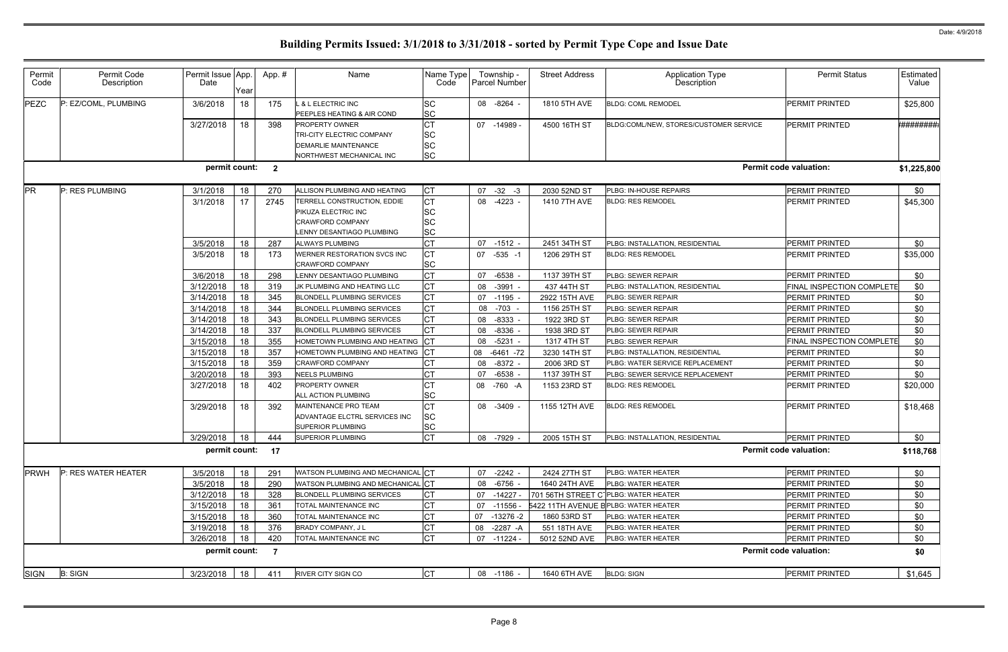| Permit<br>Code | Permit Code<br>Description | Permit Issue App.<br>Date | Year | App.#          | Name                                                                                                   | Name Type<br>Code                  |    | Township -<br>Parcel Number | <b>Street Address</b> | <b>Application Type</b><br>Description            | <b>Permit Status</b>          | Estimated<br>Value |
|----------------|----------------------------|---------------------------|------|----------------|--------------------------------------------------------------------------------------------------------|------------------------------------|----|-----------------------------|-----------------------|---------------------------------------------------|-------------------------------|--------------------|
| PEZC           | P: EZ/COML, PLUMBING       | 3/6/2018                  | 18   | 175            | . & L ELECTRIC INC<br>PEEPLES HEATING & AIR COND                                                       | SC<br><b>SC</b>                    |    | 08 -8264 -                  | 1810 5TH AVE          | <b>BLDG: COML REMODEL</b>                         | <b>PERMIT PRINTED</b>         | \$25,800           |
|                |                            | 3/27/2018                 | 18   | 398            | <b>PROPERTY OWNER</b><br>TRI-CITY ELECTRIC COMPANY<br>DEMARLIE MAINTENANCE<br>NORTHWEST MECHANICAL INC | <b>CT</b><br>SC<br>SC<br><b>SC</b> | 07 | -14989 -                    | 4500 16TH ST          | BLDG:COML/NEW, STORES/CUSTOMER SERVICE            | <b>PERMIT PRINTED</b>         | *#########         |
|                |                            | permit count: 2           |      |                |                                                                                                        |                                    |    |                             |                       |                                                   | <b>Permit code valuation:</b> | \$1,225,800        |
| <b>PR</b>      | P: RES PLUMBING            | 3/1/2018                  | 18   | 270            | ALLISON PLUMBING AND HEATING                                                                           | <b>CT</b>                          | 07 | $-32 - 3$                   | 2030 52ND ST          | PLBG: IN-HOUSE REPAIRS                            | PERMIT PRINTED                | \$0                |
|                |                            | 3/1/2018                  | 17   | 2745           | TERRELL CONSTRUCTION, EDDIE<br>PIKUZA ELECTRIC INC<br>CRAWFORD COMPANY<br>ENNY DESANTIAGO PLUMBING     | CT<br>SC<br>SC<br><b>SC</b>        | 08 | $-4223 -$                   | 1410 7TH AVE          | <b>BLDG: RES REMODEL</b>                          | <b>PERMIT PRINTED</b>         | \$45,300           |
|                |                            | 3/5/2018                  | 18   | 287            | <b>ALWAYS PLUMBING</b>                                                                                 | <b>CT</b>                          | 07 | $-1512 -$                   | 2451 34TH ST          | PLBG: INSTALLATION, RESIDENTIAL                   | PERMIT PRINTED                | \$0                |
|                |                            | 3/5/2018                  | 18   | 173            | WERNER RESTORATION SVCS INC<br>CRAWFORD COMPANY                                                        | <b>CT</b><br><b>SC</b>             | 07 | $-535 - 1$                  | 1206 29TH ST          | <b>BLDG: RES REMODEL</b>                          | PERMIT PRINTED                | \$35,000           |
|                |                            | 3/6/2018                  | 18   | 298            | LENNY DESANTIAGO PLUMBING                                                                              | <b>CT</b>                          | 07 | $-6538$                     | 1137 39TH ST          | PLBG: SEWER REPAIR                                | PERMIT PRINTED                | \$0                |
|                |                            | 3/12/2018                 | 18   | 319            | JK PLUMBING AND HEATING LLC                                                                            | <b>CT</b>                          | 08 | $-3991 -$                   | 437 44TH ST           | PLBG: INSTALLATION, RESIDENTIAL                   | FINAL INSPECTION COMPLETE     | \$0                |
|                |                            | 3/14/2018                 | 18   | 345            | <b>BLONDELL PLUMBING SERVICES</b>                                                                      | <b>CT</b>                          | 07 | $-1195$                     | 2922 15TH AVE         | PLBG: SEWER REPAIR                                | <b>PERMIT PRINTED</b>         | \$0                |
|                |                            | 3/14/2018                 | 18   | 344            | <b>BLONDELL PLUMBING SERVICES</b>                                                                      | <b>CT</b>                          | 08 | $-703$                      | 1156 25TH ST          | PLBG: SEWER REPAIR                                | <b>PERMIT PRINTED</b>         | \$0                |
|                |                            | 3/14/2018                 | 18   | 343            | <b>BLONDELL PLUMBING SERVICES</b>                                                                      | <b>CT</b>                          | 08 | $-8333$                     | 1922 3RD ST           | PLBG: SEWER REPAIR                                | PERMIT PRINTED                | \$0                |
|                |                            | 3/14/2018                 | 18   | 337            | <b>BLONDELL PLUMBING SERVICES</b>                                                                      | <b>CT</b>                          | 08 | $-8336$                     | 1938 3RD ST           | PLBG: SEWER REPAIR                                | PERMIT PRINTED                | \$0                |
|                |                            | 3/15/2018                 | 18   | 355            | HOMETOWN PLUMBING AND HEATING                                                                          | <b>CT</b>                          | 08 | $-5231 -$                   | 1317 4TH ST           | PLBG: SEWER REPAIR                                | FINAL INSPECTION COMPLETE     | \$0                |
|                |                            | 3/15/2018                 | 18   | 357            | HOMETOWN PLUMBING AND HEATING                                                                          | СT                                 | 08 | $-6461 - 72$                | 3230 14TH ST          | PLBG: INSTALLATION, RESIDENTIAL                   | PERMIT PRINTED                | \$0                |
|                |                            | 3/15/2018                 | 18   | 359            | CRAWFORD COMPANY                                                                                       | СT                                 | 08 | $-8372 -$                   | 2006 3RD ST           | PLBG: WATER SERVICE REPLACEMENT                   | PERMIT PRINTED                | \$0                |
|                |                            | 3/20/2018                 | 18   | 393            | <b>NEELS PLUMBING</b>                                                                                  | <b>CT</b>                          | 07 | $-6538$                     | 1137 39TH ST          | PLBG: SEWER SERVICE REPLACEMENT                   | <b>PERMIT PRINTED</b>         | \$0                |
|                |                            | 3/27/2018                 | 18   | 402            | <b>PROPERTY OWNER</b><br>ALL ACTION PLUMBING                                                           | <b>CT</b><br><b>SC</b>             | 08 | -760 -A                     | 1153 23RD ST          | <b>BLDG: RES REMODEL</b>                          | <b>PERMIT PRINTED</b>         | \$20,000           |
|                |                            | 3/29/2018                 | 18   | 392            | MAINTENANCE PRO TEAM<br>ADVANTAGE ELCTRL SERVICES INC<br>SUPERIOR PLUMBING                             | <b>CT</b><br>SC<br>SC              |    | 08 -3409 -                  | 1155 12TH AVE         | <b>BLDG: RES REMODEL</b>                          | <b>PERMIT PRINTED</b>         | \$18,468           |
|                |                            | $3/29/2018$ 18            |      | 444            | <b>SUPERIOR PLUMBING</b>                                                                               | CT                                 |    | 08 -7929 -                  | 2005 15TH ST          | PLBG: INSTALLATION, RESIDENTIAL                   | PERMIT PRINTED                | \$0                |
|                |                            | permit count: 17          |      |                |                                                                                                        |                                    |    |                             |                       |                                                   | <b>Permit code valuation:</b> | \$118,768          |
| <b>PRWH</b>    | P: RES WATER HEATER        | 3/5/2018                  | 18   | 291            | WATSON PLUMBING AND MECHANICAL CT                                                                      |                                    | 07 | $-2242 -$                   | 2424 27TH ST          | PLBG: WATER HEATER                                | <b>PERMIT PRINTED</b>         | \$0                |
|                |                            | 3/5/2018                  | 18   | 290            | WATSON PLUMBING AND MECHANICAL CT                                                                      |                                    | 08 | $-6756 -$                   | 1640 24TH AVE         | PLBG: WATER HEATER                                | PERMIT PRINTED                | \$0                |
|                |                            | 3/12/2018                 | 18   | 328            | <b>BLONDELL PLUMBING SERVICES</b>                                                                      | СT                                 |    | 07 -14227 -                 |                       | 701 56TH STREET C <sup>-</sup> PLBG: WATER HEATER | PERMIT PRINTED                | \$0                |
|                |                            | 3/15/2018                 | 18   | 361            | TOTAL MAINTENANCE INC                                                                                  | <b>CT</b>                          | 07 | -11556 -                    |                       | 5422 11TH AVENUE BPLBG: WATER HEATER              | <b>PERMIT PRINTED</b>         | \$0                |
|                |                            | 3/15/2018                 | 18   | 360            | TOTAL MAINTENANCE INC                                                                                  | <b>CT</b>                          |    | 07 -13276 -2                | 1860 53RD ST          | PLBG: WATER HEATER                                | <b>PERMIT PRINTED</b>         | \$0                |
|                |                            | 3/19/2018                 | 18   | 376            | BRADY COMPANY, J L                                                                                     | <b>CT</b>                          |    | 08 -2287 -A                 | 551 18TH AVE          | PLBG: WATER HEATER                                | PERMIT PRINTED                | \$0                |
|                |                            | 3/26/2018                 | 18   | 420            | TOTAL MAINTENANCE INC                                                                                  | <b>CT</b>                          |    | 07 -11224 -                 | 5012 52ND AVE         | PLBG: WATER HEATER                                | PERMIT PRINTED                | \$0                |
|                |                            | permit count:             |      | $\overline{7}$ |                                                                                                        |                                    |    |                             |                       |                                                   | <b>Permit code valuation:</b> | \$0                |
| SIGN           | <b>B: SIGN</b>             | 3/23/2018                 | 18   | 411            | <b>RIVER CITY SIGN CO</b>                                                                              | <b>CT</b>                          |    | 08 -1186 -                  | 1640 6TH AVE          | <b>BLDG: SIGN</b>                                 | <b>PERMIT PRINTED</b>         | \$1,645            |